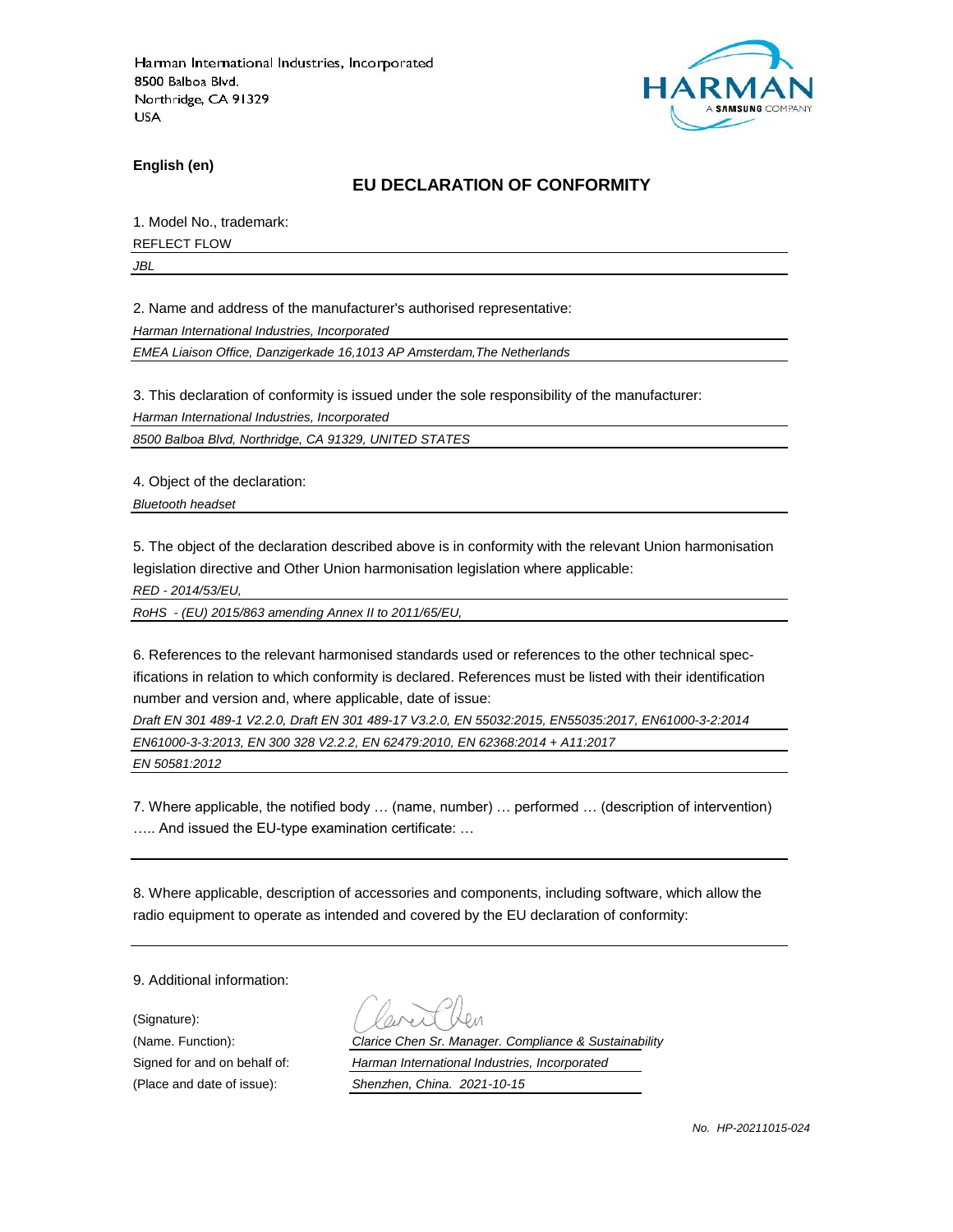

**English (en)**

### **EU DECLARATION OF CONFORMITY**

1. Model No., trademark:

REFLECT FLOW

*JBL*

2. Name and address of the manufacturer's authorised representative:

*Harman International Industries, Incorporated*

*EMEA Liaison Office, Danzigerkade 16,1013 AP Amsterdam,The Netherlands*

3. This declaration of conformity is issued under the sole responsibility of the manufacturer:

*Harman International Industries, Incorporated*

*8500 Balboa Blvd, Northridge, CA 91329, UNITED STATES*

4. Object of the declaration:

*Bluetooth headset*

5. The object of the declaration described above is in conformity with the relevant Union harmonisation legislation directive and Other Union harmonisation legislation where applicable:

*RED - 2014/53/EU,*

*RoHS - (EU) 2015/863 amending Annex II to 2011/65/EU,*

6. References to the relevant harmonised standards used or references to the other technical specifications in relation to which conformity is declared. References must be listed with their identification number and version and, where applicable, date of issue:

*Draft EN 301 489-1 V2.2.0, Draft EN 301 489-17 V3.2.0, EN 55032:2015, EN55035:2017, EN61000-3-2:2014 EN61000-3-3:2013, EN 300 328 V2.2.2, EN 62479:2010, EN 62368:2014 + A11:2017*

*EN 50581:2012*

7. Where applicable, the notified body … (name, number) … performed … (description of intervention) ….. And issued the EU-type examination certificate: …

8. Where applicable, description of accessories and components, including software, which allow the radio equipment to operate as intended and covered by the EU declaration of conformity:

9. Additional information:

(Signature):

(Name. Function): *Clarice Chen Sr. Manager. Compliance & Sustainability* Signed for and on behalf of: *Harman International Industries, Incorporated*

(Place and date of issue): *Shenzhen, China. 2021-10-15*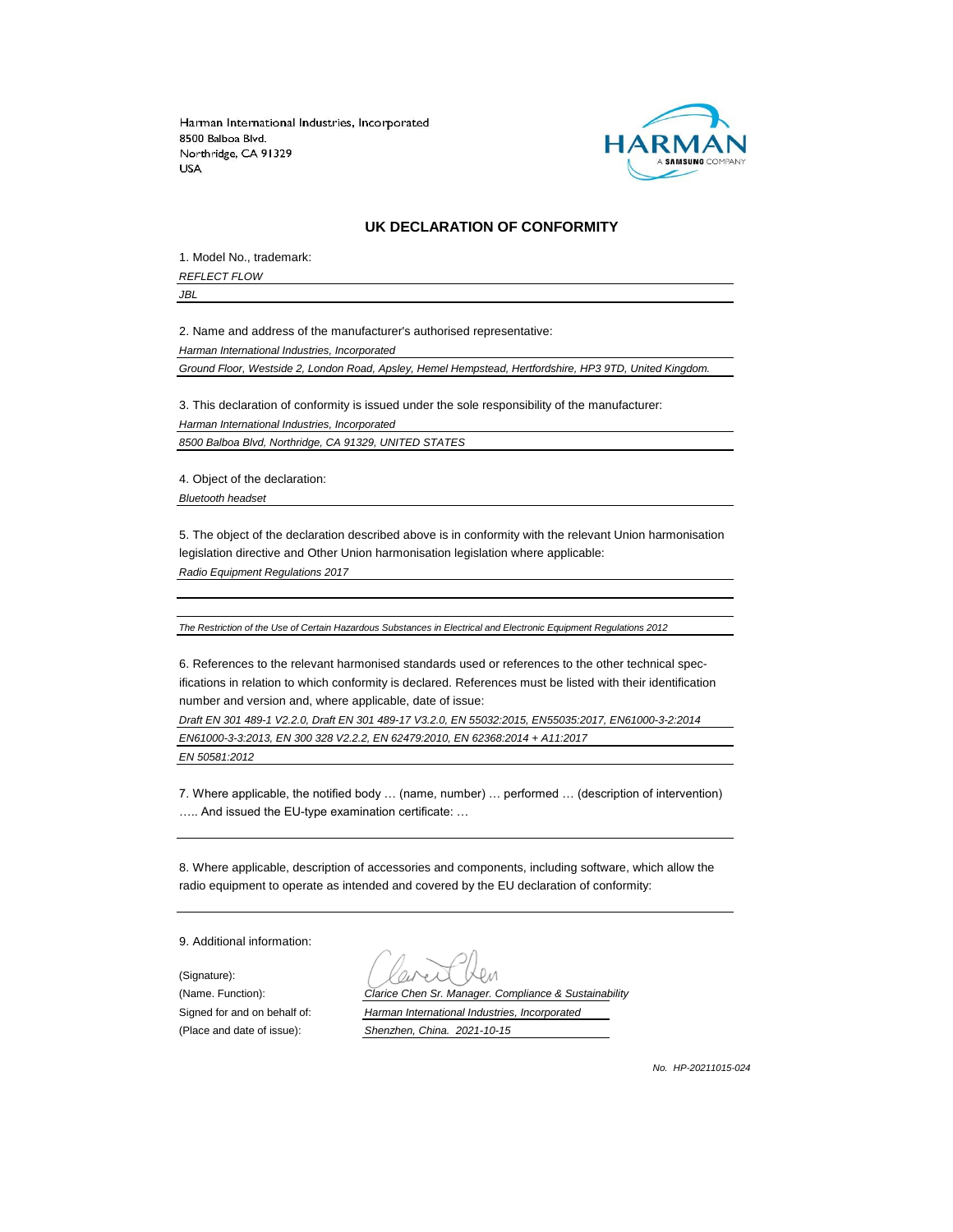

#### **UK DECLARATION OF CONFORMITY**

1. Model No., trademark: *REFLECT FLOW*

*JBL*

2. Name and address of the manufacturer's authorised representative:

*Harman International Industries, Incorporated*

*Ground Floor, Westside 2, London Road, Apsley, Hemel Hempstead, Hertfordshire, HP3 9TD, United Kingdom.*

3. This declaration of conformity is issued under the sole responsibility of the manufacturer: *Harman International Industries, Incorporated 8500 Balboa Blvd, Northridge, CA 91329, UNITED STATES*

4. Object of the declaration:

*Bluetooth headset*

5. The object of the declaration described above is in conformity with the relevant Union harmonisation legislation directive and Other Union harmonisation legislation where applicable:

*Radio Equipment Regulations 2017*

*The Restriction of the Use of Certain Hazardous Substances in Electrical and Electronic Equipment Regulations 2012*

6. References to the relevant harmonised standards used or references to the other technical specifications in relation to which conformity is declared. References must be listed with their identification number and version and, where applicable, date of issue:

*Draft EN 301 489-1 V2.2.0, Draft EN 301 489-17 V3.2.0, EN 55032:2015, EN55035:2017, EN61000-3-2:2014 EN61000-3-3:2013, EN 300 328 V2.2.2, EN 62479:2010, EN 62368:2014 + A11:2017 EN 50581:2012*

7. Where applicable, the notified body … (name, number) … performed … (description of intervention) ….. And issued the EU-type examination certificate: …

8. Where applicable, description of accessories and components, including software, which allow the radio equipment to operate as intended and covered by the EU declaration of conformity:

9. Additional information:

(Signature):

(Name. Function): *Clarice Chen Sr. Manager. Compliance & Sustainability* Signed for and on behalf of: *Harman International Industries, Incorporated* (Place and date of issue): *Shenzhen, China. 2021-10-15*

*No. HP-20211015-024*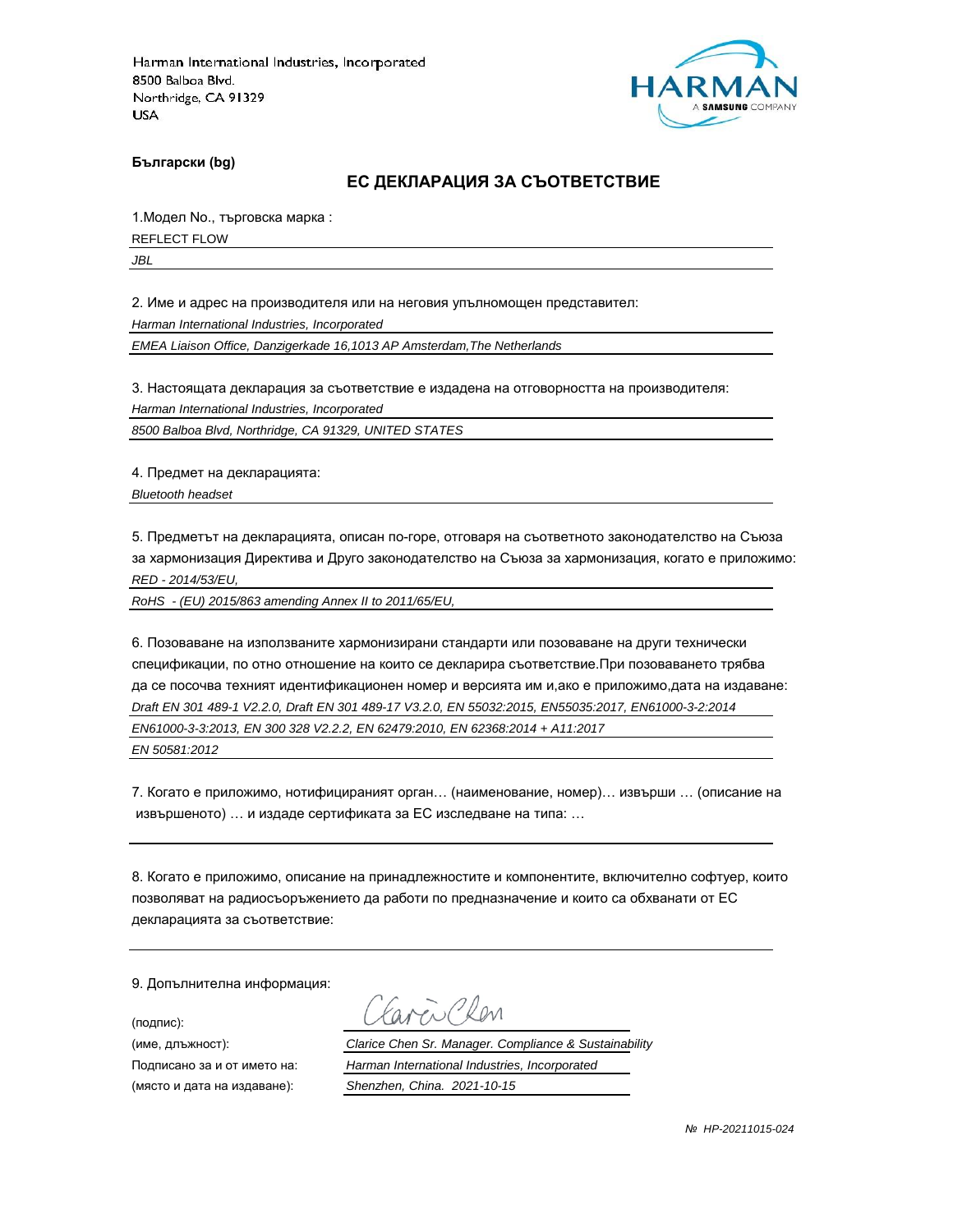

**Български (bg)**

#### **ЕС ДЕКЛАРАЦИЯ ЗА СЪОТВЕТСТВИЕ**

1.Модел No., търговска марка :

REFLECT FLOW

*JBL*

2. Име и адрес на производителя или на неговия упълномощен представител:

*Harman International Industries, Incorporated*

*EMEA Liaison Office, Danzigerkade 16,1013 AP Amsterdam,The Netherlands*

3. Настоящата декларация за съответствие е издадена на отговорността на производителя:

*Harman International Industries, Incorporated*

*8500 Balboa Blvd, Northridge, CA 91329, UNITED STATES*

4. Предмет на декларацията:

*Bluetooth headset*

5. Предметът на декларацията, описан по-горе, отговаря на съответното законодателство на Съюза за хармонизация Директива и Друго законодателство на Съюза за хармонизация, когато е приложимо: *RED - 2014/53/EU,*

*RoHS - (EU) 2015/863 amending Annex II to 2011/65/EU,*

6. Позоваване на използваните хармонизирани стандарти или позоваване на други технически спецификации, по отно отношение на които се декларира съответствие.При позоваването трябва да се посочва техният идентификационен номер и версията им и,ако е приложимо,дата на издаване: *Draft EN 301 489-1 V2.2.0, Draft EN 301 489-17 V3.2.0, EN 55032:2015, EN55035:2017, EN61000-3-2:2014 EN61000-3-3:2013, EN 300 328 V2.2.2, EN 62479:2010, EN 62368:2014 + A11:2017 EN 50581:2012*

7. Когато е приложимо, нотифицираният орган… (наименование, номер)… извърши … (описание на извършеното) … и издаде сертификата за ЕС изследване на типа: …

8. Когато е приложимо, описание на принадлежностите и компонентите, включително софтуер, които позволяват на радиосъоръжението да работи по предназначение и които са обхванати от ЕС декларацията за съответствие:

9. Допълнителна информация:

(подпис):

(място и дата на издаване): *Shenzhen, China. 2021-10-15*

aren Chen

(име, длъжност): *Clarice Chen Sr. Manager. Compliance & Sustainability*

Подписано за и от името на: *Harman International Industries, Incorporated*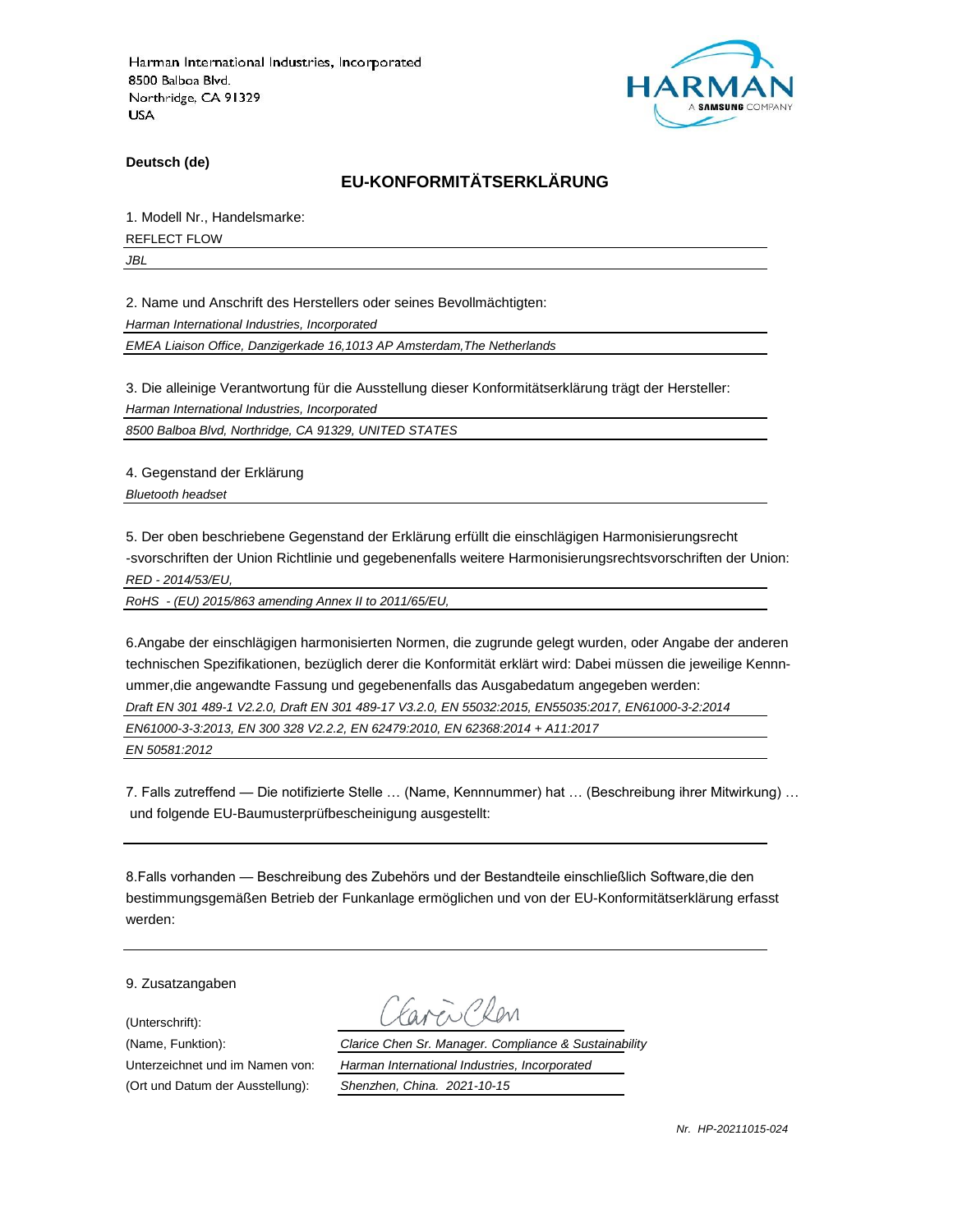

**Deutsch (de)**

### **EU-KONFORMITÄTSERKLÄRUNG**

1. Modell Nr., Handelsmarke:

REFLECT FLOW

*JBL*

2. Name und Anschrift des Herstellers oder seines Bevollmächtigten:

*Harman International Industries, Incorporated*

*EMEA Liaison Office, Danzigerkade 16,1013 AP Amsterdam,The Netherlands*

3. Die alleinige Verantwortung für die Ausstellung dieser Konformitätserklärung trägt der Hersteller:

*Harman International Industries, Incorporated*

*8500 Balboa Blvd, Northridge, CA 91329, UNITED STATES*

4. Gegenstand der Erklärung

*Bluetooth headset*

5. Der oben beschriebene Gegenstand der Erklärung erfüllt die einschlägigen Harmonisierungsrecht -svorschriften der Union Richtlinie und gegebenenfalls weitere Harmonisierungsrechtsvorschriften der Union: *RED - 2014/53/EU,*

*RoHS - (EU) 2015/863 amending Annex II to 2011/65/EU,*

6.Angabe der einschlägigen harmonisierten Normen, die zugrunde gelegt wurden, oder Angabe der anderen technischen Spezifikationen, bezüglich derer die Konformität erklärt wird: Dabei müssen die jeweilige Kennnummer,die angewandte Fassung und gegebenenfalls das Ausgabedatum angegeben werden: *Draft EN 301 489-1 V2.2.0, Draft EN 301 489-17 V3.2.0, EN 55032:2015, EN55035:2017, EN61000-3-2:2014 EN61000-3-3:2013, EN 300 328 V2.2.2, EN 62479:2010, EN 62368:2014 + A11:2017 EN 50581:2012*

7. Falls zutreffend — Die notifizierte Stelle … (Name, Kennnummer) hat … (Beschreibung ihrer Mitwirkung) … und folgende EU-Baumusterprüfbescheinigung ausgestellt:

8.Falls vorhanden — Beschreibung des Zubehörs und der Bestandteile einschließlich Software,die den bestimmungsgemäßen Betrieb der Funkanlage ermöglichen und von der EU-Konformitätserklärung erfasst werden:

9. Zusatzangaben

(Unterschrift):

(Name, Funktion): *Clarice Chen Sr. Manager. Compliance & Sustainability* Unterzeichnet und im Namen von: *Harman International Industries, Incorporated* (Ort und Datum der Ausstellung): *Shenzhen, China. 2021-10-15*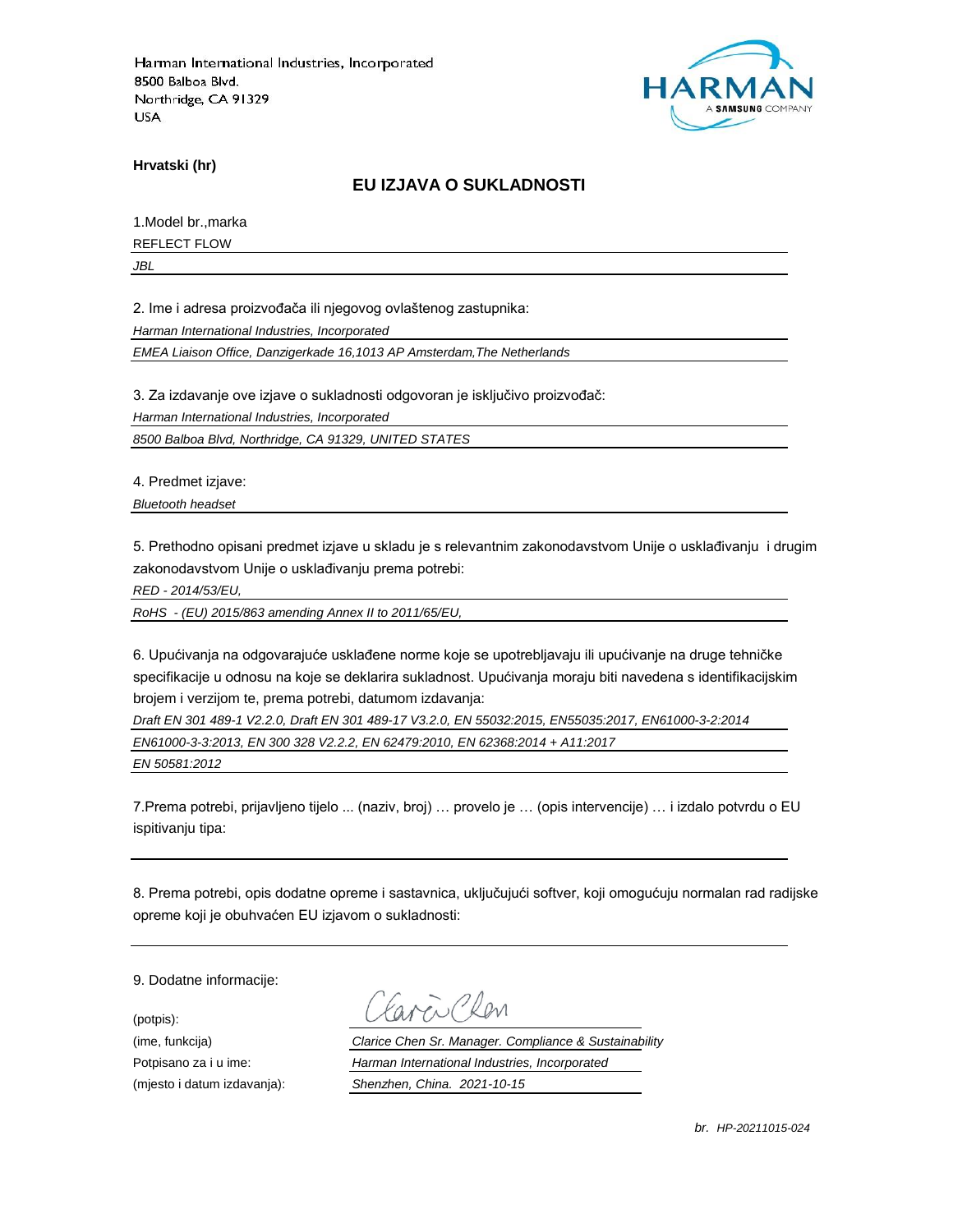

**Hrvatski (hr)**

### **EU IZJAVA O SUKLADNOSTI**

1.Model br.,marka REFLECT FLOW

*JBL*

2. Ime i adresa proizvođača ili njegovog ovlaštenog zastupnika:

*Harman International Industries, Incorporated*

*EMEA Liaison Office, Danzigerkade 16,1013 AP Amsterdam,The Netherlands*

3. Za izdavanje ove izjave o sukladnosti odgovoran je isključivo proizvođač:

*Harman International Industries, Incorporated*

*8500 Balboa Blvd, Northridge, CA 91329, UNITED STATES*

4. Predmet izjave:

*Bluetooth headset*

5. Prethodno opisani predmet izjave u skladu je s relevantnim zakonodavstvom Unije o usklađivanju i drugim zakonodavstvom Unije o usklađivanju prema potrebi:

*RED - 2014/53/EU,*

*RoHS - (EU) 2015/863 amending Annex II to 2011/65/EU,*

6. Upućivanja na odgovarajuće usklađene norme koje se upotrebljavaju ili upućivanje na druge tehničke specifikacije u odnosu na koje se deklarira sukladnost. Upućivanja moraju biti navedena s identifikacijskim brojem i verzijom te, prema potrebi, datumom izdavanja:

*Draft EN 301 489-1 V2.2.0, Draft EN 301 489-17 V3.2.0, EN 55032:2015, EN55035:2017, EN61000-3-2:2014 EN61000-3-3:2013, EN 300 328 V2.2.2, EN 62479:2010, EN 62368:2014 + A11:2017*

*EN 50581:2012*

7.Prema potrebi, prijavljeno tijelo ... (naziv, broj) … provelo je … (opis intervencije) … i izdalo potvrdu o EU ispitivanju tipa:

8. Prema potrebi, opis dodatne opreme i sastavnica, uključujući softver, koji omogućuju normalan rad radijske opreme koji je obuhvaćen EU izjavom o sukladnosti:

9. Dodatne informacije:

(potpis):

(ime, funkcija) *Clarice Chen Sr. Manager. Compliance & Sustainability* Potpisano za i u ime: *Harman International Industries, Incorporated* (mjesto i datum izdavanja): *Shenzhen, China. 2021-10-15*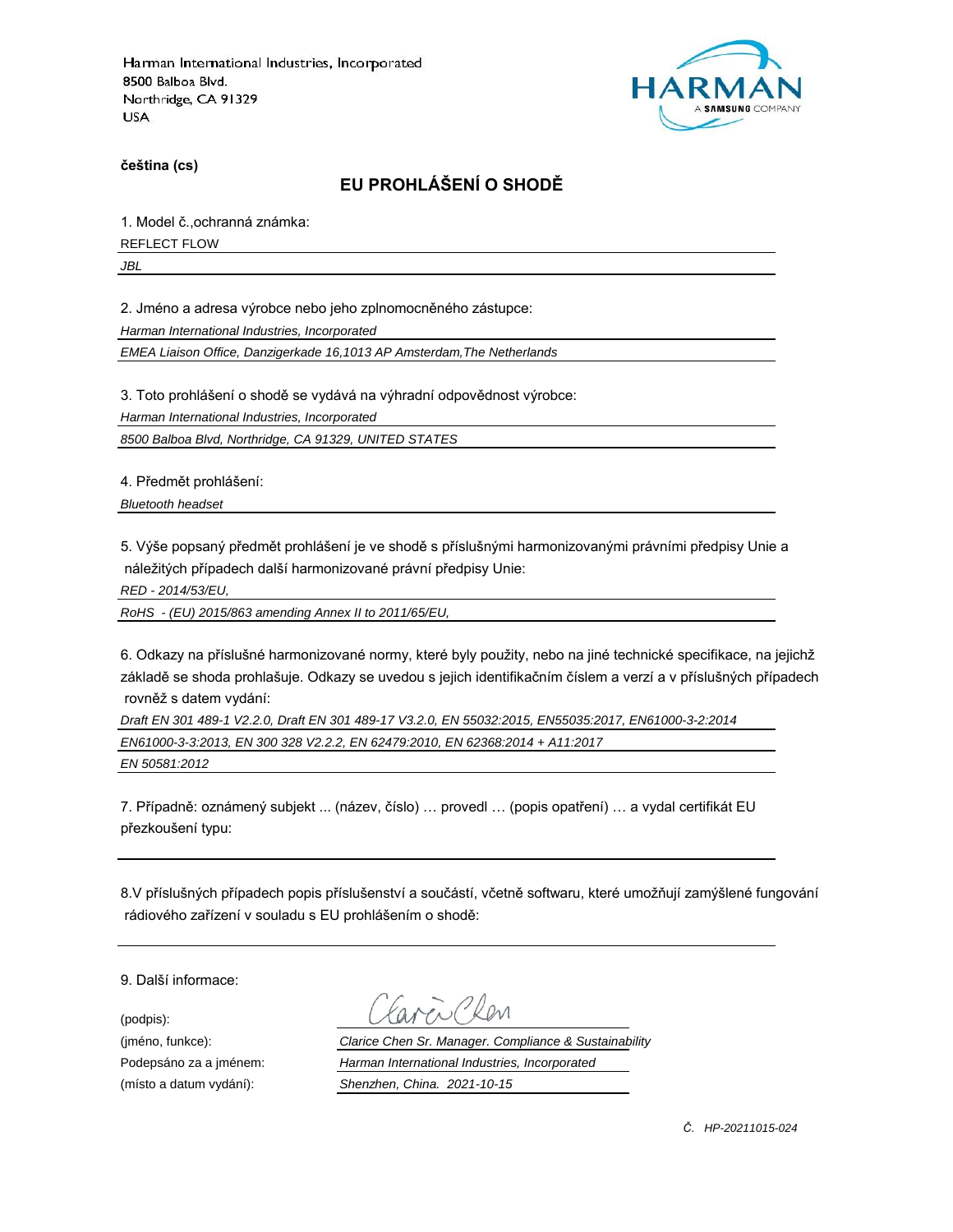

**čeština (cs)**

# **EU PROHLÁŠENÍ O SHODĚ**

1. Model č.,ochranná známka:

REFLECT FLOW

*JBL*

2. Jméno a adresa výrobce nebo jeho zplnomocněného zástupce:

*Harman International Industries, Incorporated*

*EMEA Liaison Office, Danzigerkade 16,1013 AP Amsterdam,The Netherlands*

3. Toto prohlášení o shodě se vydává na výhradní odpovědnost výrobce:

*Harman International Industries, Incorporated*

*8500 Balboa Blvd, Northridge, CA 91329, UNITED STATES*

4. Předmět prohlášení:

*Bluetooth headset*

5. Výše popsaný předmět prohlášení je ve shodě s příslušnými harmonizovanými právními předpisy Unie a náležitých případech další harmonizované právní předpisy Unie:

*RED - 2014/53/EU,*

*RoHS - (EU) 2015/863 amending Annex II to 2011/65/EU,*

6. Odkazy na příslušné harmonizované normy, které byly použity, nebo na jiné technické specifikace, na jejichž základě se shoda prohlašuje. Odkazy se uvedou s jejich identifikačním číslem a verzí a v příslušných případech rovněž s datem vydání:

*Draft EN 301 489-1 V2.2.0, Draft EN 301 489-17 V3.2.0, EN 55032:2015, EN55035:2017, EN61000-3-2:2014 EN61000-3-3:2013, EN 300 328 V2.2.2, EN 62479:2010, EN 62368:2014 + A11:2017 EN 50581:2012*

7. Případně: oznámený subjekt ... (název, číslo) … provedl … (popis opatření) … a vydal certifikát EU přezkoušení typu:

8.V příslušných případech popis příslušenství a součástí, včetně softwaru, které umožňují zamýšlené fungování rádiového zařízení v souladu s EU prohlášením o shodě:

9. Další informace:

(podpis):

(jméno, funkce): *Clarice Chen Sr. Manager. Compliance & Sustainability* Podepsáno za a jménem: *Harman International Industries, Incorporated* (místo a datum vydání): *Shenzhen, China. 2021-10-15*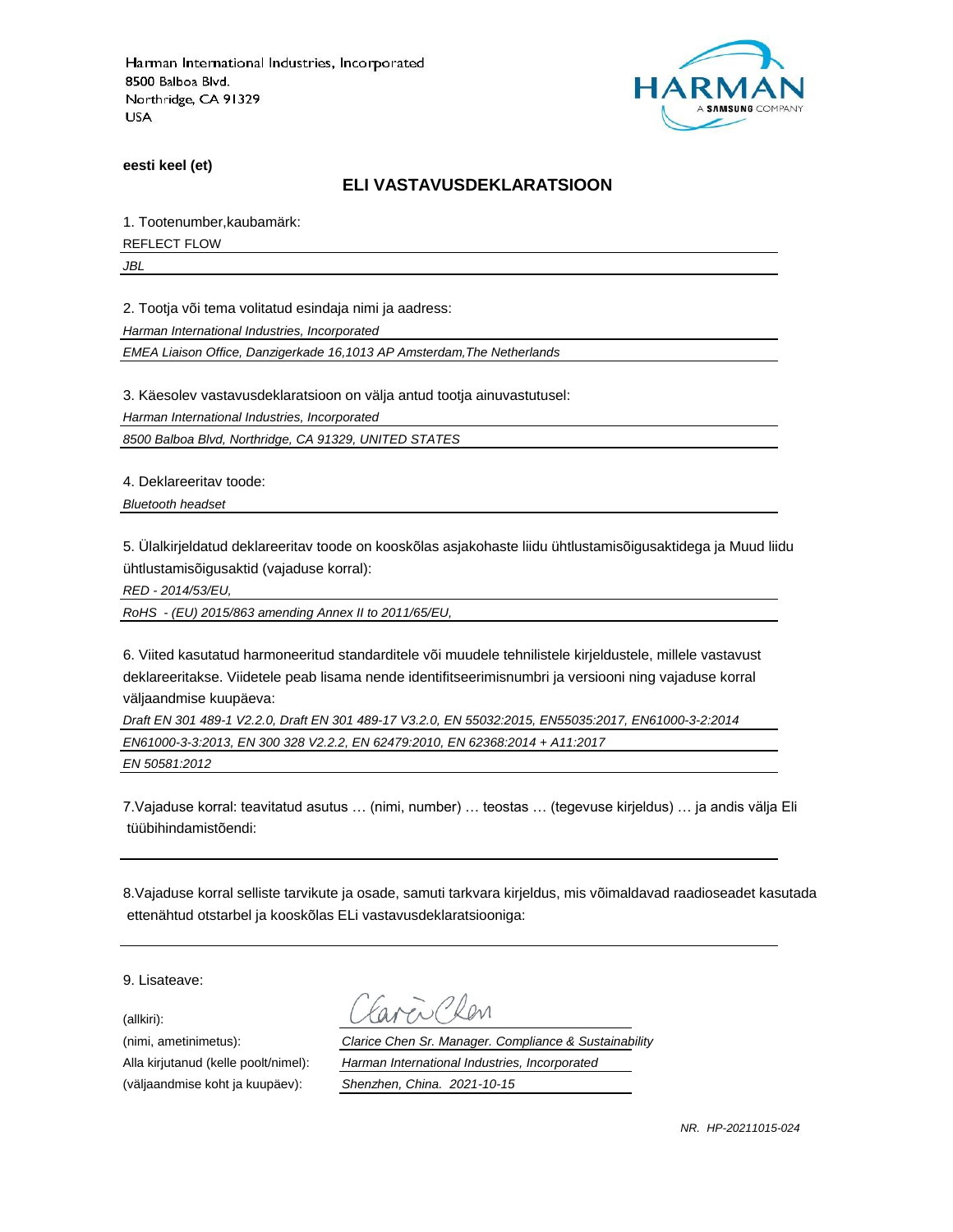

**eesti keel (et)**

#### **ELI VASTAVUSDEKLARATSIOON**

1. Tootenumber,kaubamärk:

REFLECT FLOW

*JBL*

2. Tootja või tema volitatud esindaja nimi ja aadress:

*Harman International Industries, Incorporated*

*EMEA Liaison Office, Danzigerkade 16,1013 AP Amsterdam,The Netherlands*

3. Käesolev vastavusdeklaratsioon on välja antud tootja ainuvastutusel:

*Harman International Industries, Incorporated*

*8500 Balboa Blvd, Northridge, CA 91329, UNITED STATES*

4. Deklareeritav toode:

*Bluetooth headset*

5. Ülalkirjeldatud deklareeritav toode on kooskõlas asjakohaste liidu ühtlustamisõigusaktidega ja Muud liidu ühtlustamisõigusaktid (vajaduse korral):

*RED - 2014/53/EU,*

*RoHS - (EU) 2015/863 amending Annex II to 2011/65/EU,*

6. Viited kasutatud harmoneeritud standarditele või muudele tehnilistele kirjeldustele, millele vastavust deklareeritakse. Viidetele peab lisama nende identifitseerimisnumbri ja versiooni ning vajaduse korral väljaandmise kuupäeva:

*Draft EN 301 489-1 V2.2.0, Draft EN 301 489-17 V3.2.0, EN 55032:2015, EN55035:2017, EN61000-3-2:2014 EN61000-3-3:2013, EN 300 328 V2.2.2, EN 62479:2010, EN 62368:2014 + A11:2017 EN 50581:2012*

7.Vajaduse korral: teavitatud asutus … (nimi, number) … teostas … (tegevuse kirjeldus) … ja andis välja Eli tüübihindamistõendi:

8.Vajaduse korral selliste tarvikute ja osade, samuti tarkvara kirjeldus, mis võimaldavad raadioseadet kasutada ettenähtud otstarbel ja kooskõlas ELi vastavusdeklaratsiooniga:

9. Lisateave:

(allkiri):

(nimi, ametinimetus): *Clarice Chen Sr. Manager. Compliance & Sustainability* Alla kirjutanud (kelle poolt/nimel): *Harman International Industries, Incorporated* (väljaandmise koht ja kuupäev): *Shenzhen, China. 2021-10-15*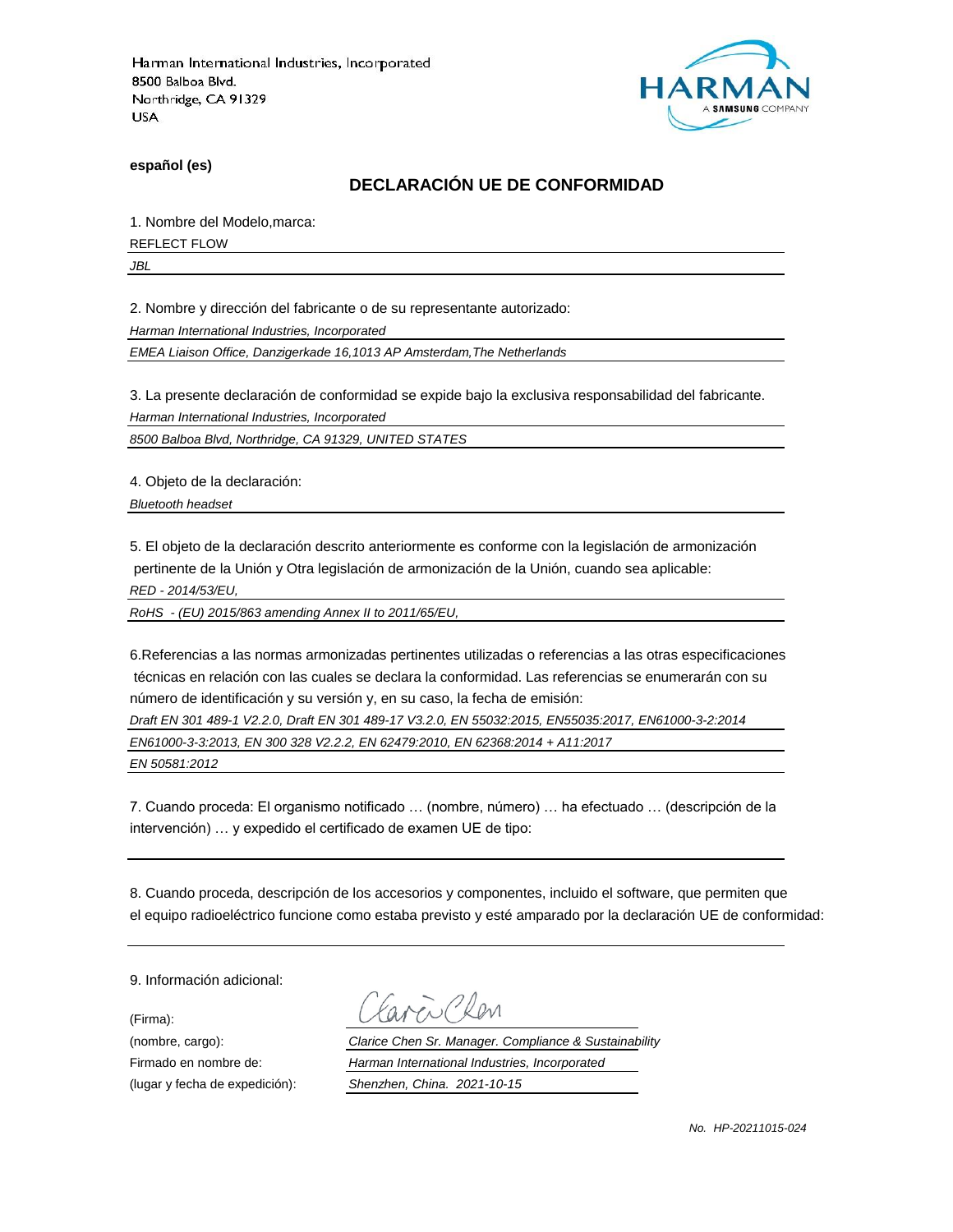

**español (es)**

### **DECLARACIÓN UE DE CONFORMIDAD**

1. Nombre del Modelo,marca:

REFLECT FLOW

*JBL*

2. Nombre y dirección del fabricante o de su representante autorizado:

*Harman International Industries, Incorporated*

*EMEA Liaison Office, Danzigerkade 16,1013 AP Amsterdam,The Netherlands*

3. La presente declaración de conformidad se expide bajo la exclusiva responsabilidad del fabricante.

*Harman International Industries, Incorporated*

*8500 Balboa Blvd, Northridge, CA 91329, UNITED STATES*

4. Objeto de la declaración:

*Bluetooth headset*

5. El objeto de la declaración descrito anteriormente es conforme con la legislación de armonización pertinente de la Unión y Otra legislación de armonización de la Unión, cuando sea aplicable:

*RED - 2014/53/EU,*

*RoHS - (EU) 2015/863 amending Annex II to 2011/65/EU,*

6.Referencias a las normas armonizadas pertinentes utilizadas o referencias a las otras especificaciones técnicas en relación con las cuales se declara la conformidad. Las referencias se enumerarán con su número de identificación y su versión y, en su caso, la fecha de emisión:

*Draft EN 301 489-1 V2.2.0, Draft EN 301 489-17 V3.2.0, EN 55032:2015, EN55035:2017, EN61000-3-2:2014 EN61000-3-3:2013, EN 300 328 V2.2.2, EN 62479:2010, EN 62368:2014 + A11:2017*

*EN 50581:2012*

7. Cuando proceda: El organismo notificado … (nombre, número) … ha efectuado … (descripción de la intervención) … y expedido el certificado de examen UE de tipo:

8. Cuando proceda, descripción de los accesorios y componentes, incluido el software, que permiten que el equipo radioeléctrico funcione como estaba previsto y esté amparado por la declaración UE de conformidad:

9. Información adicional:

(Firma):

Plen

(nombre, cargo): *Clarice Chen Sr. Manager. Compliance & Sustainability* Firmado en nombre de: *Harman International Industries, Incorporated* (lugar y fecha de expedición): *Shenzhen, China. 2021-10-15*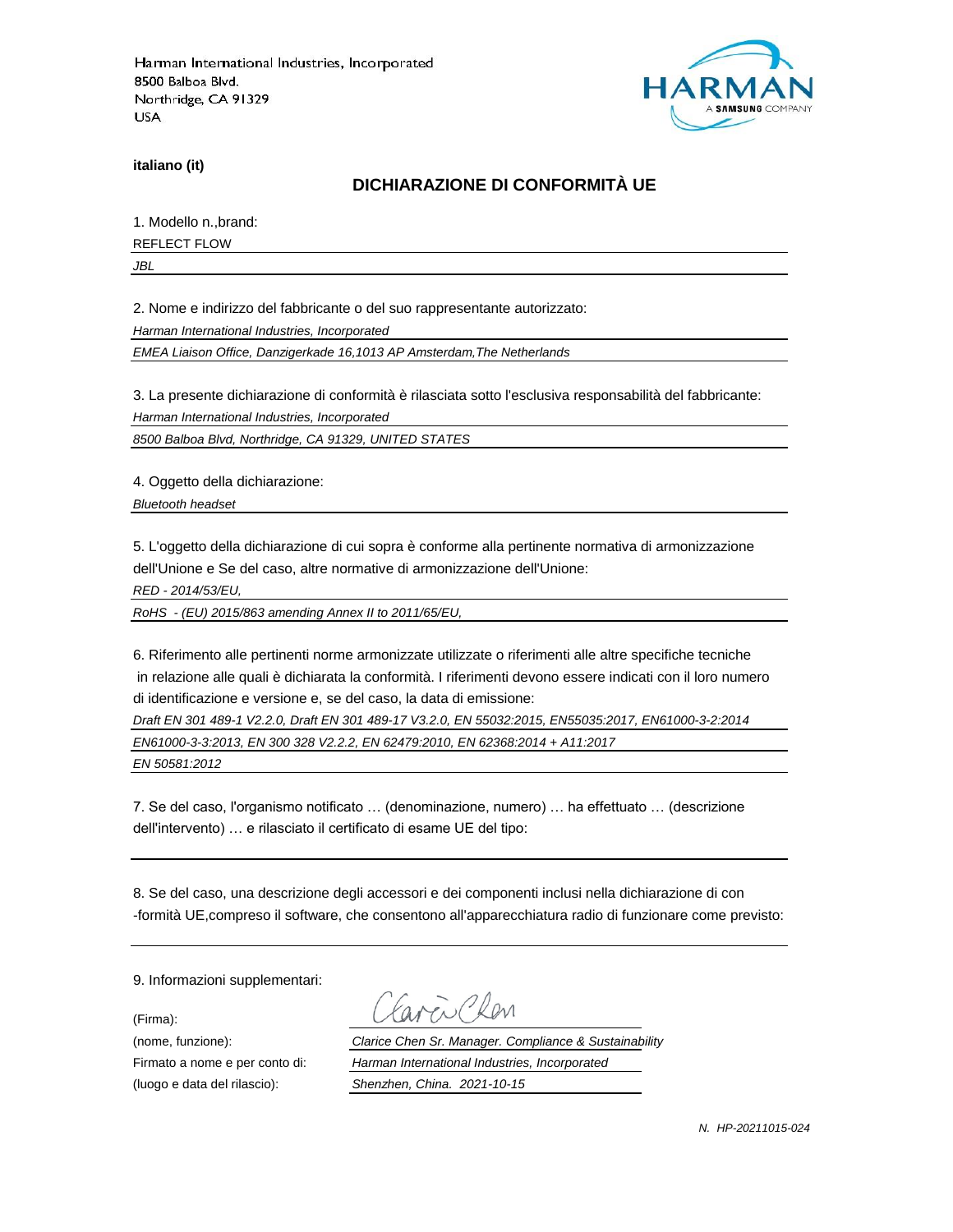

**italiano (it)**

### **DICHIARAZIONE DI CONFORMITÀ UE**

1. Modello n.,brand:

REFLECT FLOW

*JBL*

2. Nome e indirizzo del fabbricante o del suo rappresentante autorizzato:

*Harman International Industries, Incorporated*

*EMEA Liaison Office, Danzigerkade 16,1013 AP Amsterdam,The Netherlands*

3. La presente dichiarazione di conformità è rilasciata sotto l'esclusiva responsabilità del fabbricante:

*Harman International Industries, Incorporated*

*8500 Balboa Blvd, Northridge, CA 91329, UNITED STATES*

4. Oggetto della dichiarazione:

*Bluetooth headset*

5. L'oggetto della dichiarazione di cui sopra è conforme alla pertinente normativa di armonizzazione dell'Unione e Se del caso, altre normative di armonizzazione dell'Unione:

*RED - 2014/53/EU,*

*RoHS - (EU) 2015/863 amending Annex II to 2011/65/EU,*

6. Riferimento alle pertinenti norme armonizzate utilizzate o riferimenti alle altre specifiche tecniche in relazione alle quali è dichiarata la conformità. I riferimenti devono essere indicati con il loro numero di identificazione e versione e, se del caso, la data di emissione:

*Draft EN 301 489-1 V2.2.0, Draft EN 301 489-17 V3.2.0, EN 55032:2015, EN55035:2017, EN61000-3-2:2014*

*EN61000-3-3:2013, EN 300 328 V2.2.2, EN 62479:2010, EN 62368:2014 + A11:2017*

*EN 50581:2012*

7. Se del caso, l'organismo notificato … (denominazione, numero) … ha effettuato … (descrizione dell'intervento) … e rilasciato il certificato di esame UE del tipo:

8. Se del caso, una descrizione degli accessori e dei componenti inclusi nella dichiarazione di con -formità UE,compreso il software, che consentono all'apparecchiatura radio di funzionare come previsto:

9. Informazioni supplementari:

(Firma):

(luogo e data del rilascio): *Shenzhen, China. 2021-10-15*

i Plan

(nome, funzione): *Clarice Chen Sr. Manager. Compliance & Sustainability* Firmato a nome e per conto di: *Harman International Industries, Incorporated*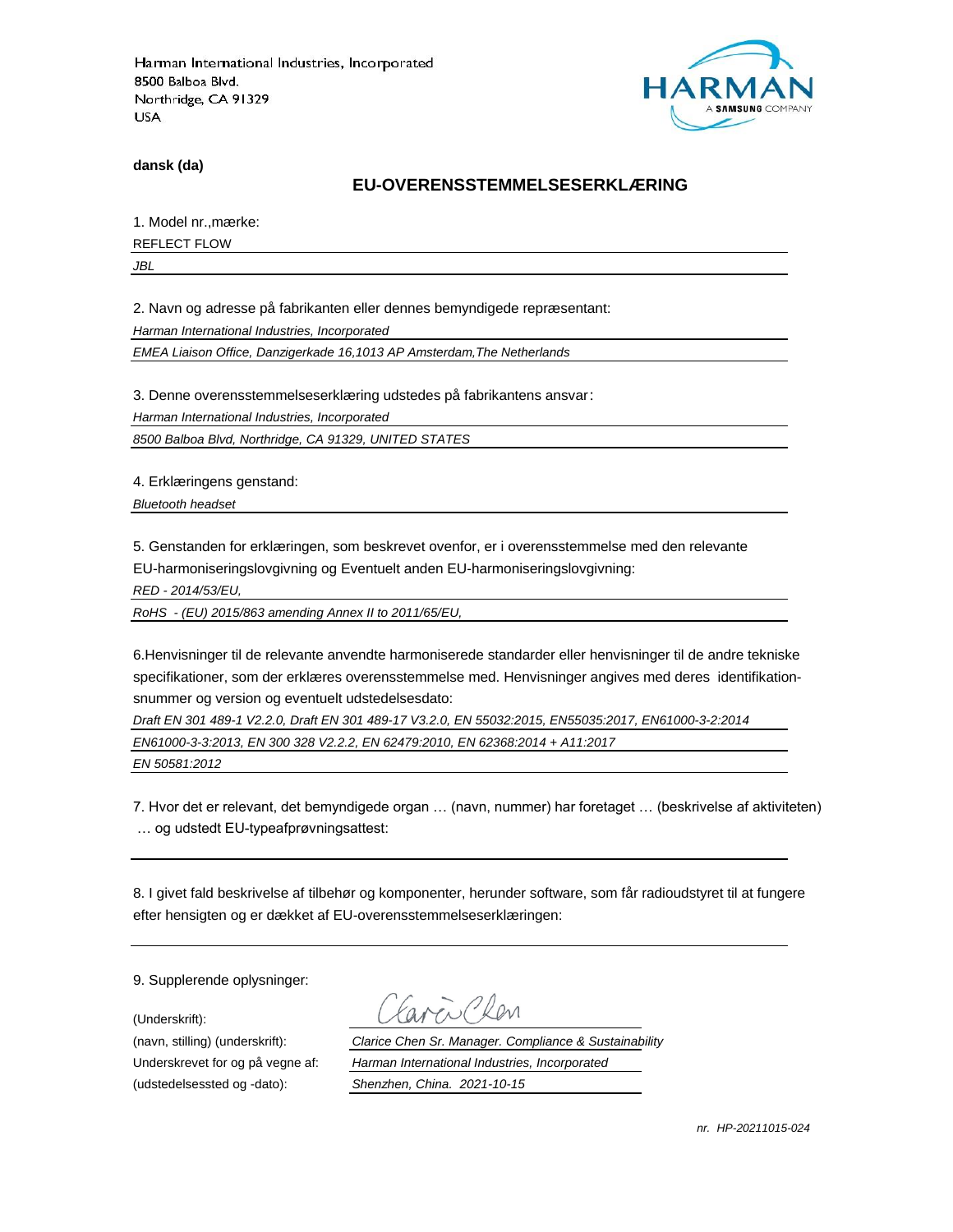

**dansk (da)**

### **EU-OVERENSSTEMMELSESERKLÆ RING**

1. Model nr., mærke:

REFLECT FLOW

*JBL*

2. Navn og adresse på fabrikanten eller dennes bemyndigede repræ sentant:

*Harman International Industries, Incorporated*

*EMEA Liaison Office, Danzigerkade 16,1013 AP Amsterdam,The Netherlands*

3. Denne overensstemmelseserklæring udstedes på fabrikantens ansvar:

*Harman International Industries, Incorporated*

*8500 Balboa Blvd, Northridge, CA 91329, UNITED STATES*

4. Erklæringens genstand:

*Bluetooth headset*

5. Genstanden for erklæringen, som beskrevet ovenfor, er i overensstemmelse med den relevante EU-harmoniseringslovgivning og Eventuelt anden EU-harmoniseringslovgivning:

*RED - 2014/53/EU,*

*RoHS - (EU) 2015/863 amending Annex II to 2011/65/EU,*

6.Henvisninger til de relevante anvendte harmoniserede standarder eller henvisninger til de andre tekniske specifikationer, som der erklæres overensstemmelse med. Henvisninger angives med deres identifikationsnummer og version og eventuelt udstedelsesdato:

*Draft EN 301 489-1 V2.2.0, Draft EN 301 489-17 V3.2.0, EN 55032:2015, EN55035:2017, EN61000-3-2:2014 EN61000-3-3:2013, EN 300 328 V2.2.2, EN 62479:2010, EN 62368:2014 + A11:2017*

*EN 50581:2012*

7. Hvor det er relevant, det bemyndigede organ … (navn, nummer) har foretaget … (beskrivelse af aktiviteten) … og udstedt EU-typeafprøvningsattest:

8. I givet fald beskrivelse af tilbehør og komponenter, herunder software, som får radioudstyret til at fungere efter hensigten og er dækket af EU-overensstemmelseserklæringen:

9. Supplerende oplysninger:

(Underskrift):

(udstedelsessted og -dato): *Shenzhen, China. 2021-10-15*

(navn, stilling) (underskrift): *Clarice Chen Sr. Manager. Compliance & Sustainability* Underskrevet for og på vegne af: *Harman International Industries, Incorporated*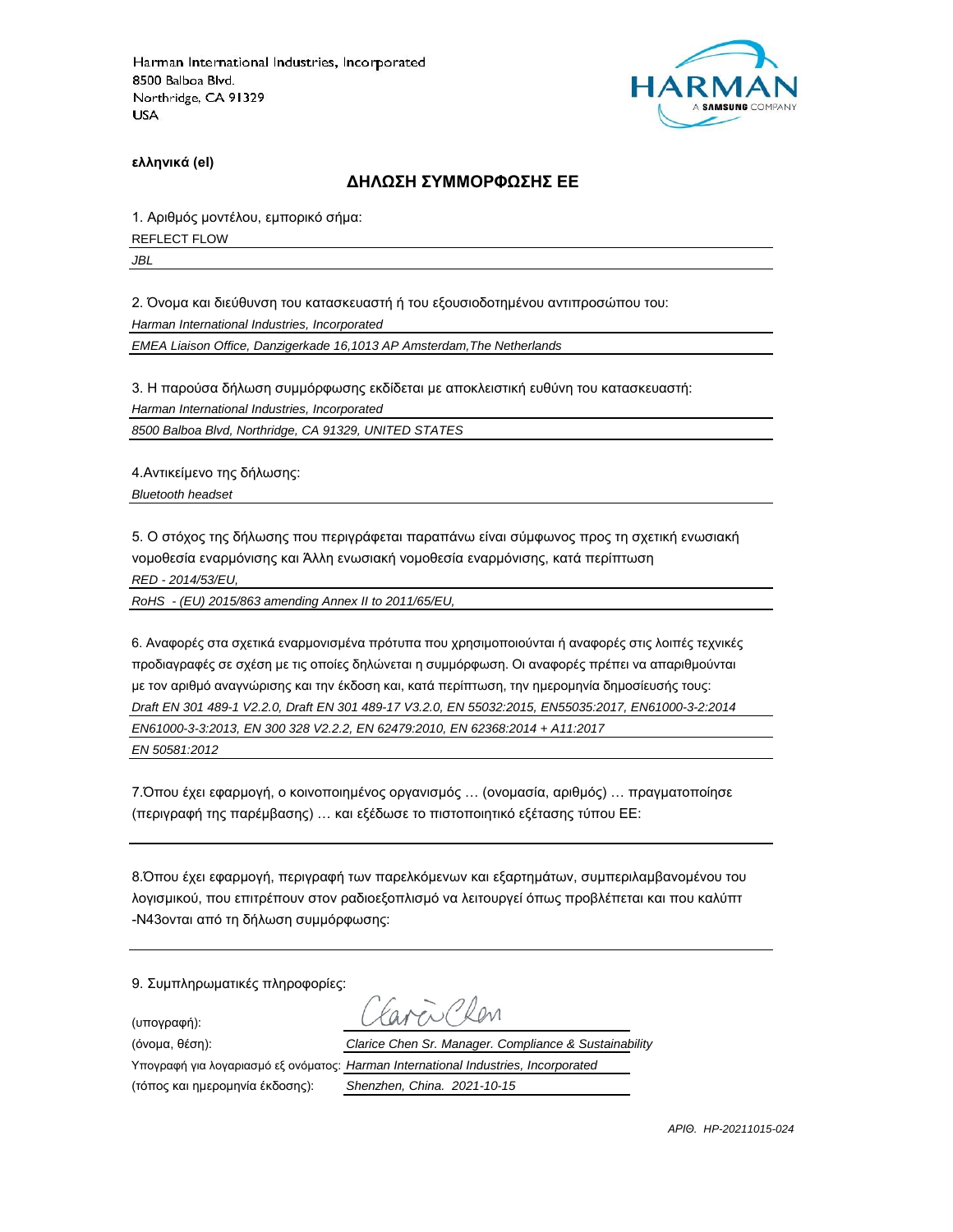

**ελληνικά (el)**

#### **ΔΗΛΩΣΗ ΣΥΜΜΟΡΦΩΣΗΣ ΕΕ**

1. Αριθμός μοντέλου, εμπορικό σήμα: REFLECT FLOW

*JBL*

2. Όνομα και διεύθυνση του κατασκευαστή ή του εξουσιοδοτημένου αντιπροσώπου του:

*Harman International Industries, Incorporated*

*EMEA Liaison Office, Danzigerkade 16,1013 AP Amsterdam,The Netherlands*

3. Η παρούσα δήλωση συμμόρφωσης εκδίδεται με αποκλειστική ευθύνη του κατασκευαστή:

*Harman International Industries, Incorporated*

*8500 Balboa Blvd, Northridge, CA 91329, UNITED STATES*

4.Αντικείμενο της δήλωσης:

*Bluetooth headset*

5. Ο στόχος της δήλωσης που περιγράφεται παραπάνω είναι σύμφωνος προς τη σχετική ενωσιακή νομοθεσία εναρμόνισης και Άλλη ενωσιακή νομοθεσία εναρμόνισης, κατά περίπτωση

*RED - 2014/53/EU,*

*RoHS - (EU) 2015/863 amending Annex II to 2011/65/EU,*

6. Αναφορές στα σχετικά εναρμονισμένα πρότυπα που χρησιμοποιούνται ή αναφορές στις λοιπές τεχνικές προδιαγραφές σε σχέση με τις οποίες δηλώνεται η συμμόρφωση. Οι αναφορές πρέπει να απαριθμούνται με τον αριθμό αναγνώρισης και την έκδοση και, κατά περίπτωση, την ημερομηνία δημοσίευσής τους: *Draft EN 301 489-1 V2.2.0, Draft EN 301 489-17 V3.2.0, EN 55032:2015, EN55035:2017, EN61000-3-2:2014 EN61000-3-3:2013, EN 300 328 V2.2.2, EN 62479:2010, EN 62368:2014 + A11:2017 EN 50581:2012*

7.Όπου έχει εφαρμογή, ο κοινοποιημένος οργανισμός … (ονομασία, αριθμός) … πραγματοποίησε (περιγραφή της παρέμβασης) … και εξέδωσε το πιστοποιητικό εξέτασης τύπου ΕΕ:

8.Όπου έχει εφαρμογή, περιγραφή των παρελκόμενων και εξαρτημάτων, συμπεριλαμβανομένου του λογισμικού, που επιτρέπουν στον ραδιοεξοπλισμό να λειτουργεί όπως προβλέπεται και που καλύπτ -N43ονται από τη δήλωση συμμόρφωσης:

9. Συμπληρωματικές πληροφορίες:

(υπογραφή):

(τόπος και ημερομηνία έκδοσης): *Shenzhen, China. 2021-10-15*

 $R_{\text{N}}$ (όνομα, θέση): *Clarice Chen Sr. Manager. Compliance & Sustainability* Υπογραφή για λογαριασμό εξ ονόματος: *Harman International Industries, Incorporated*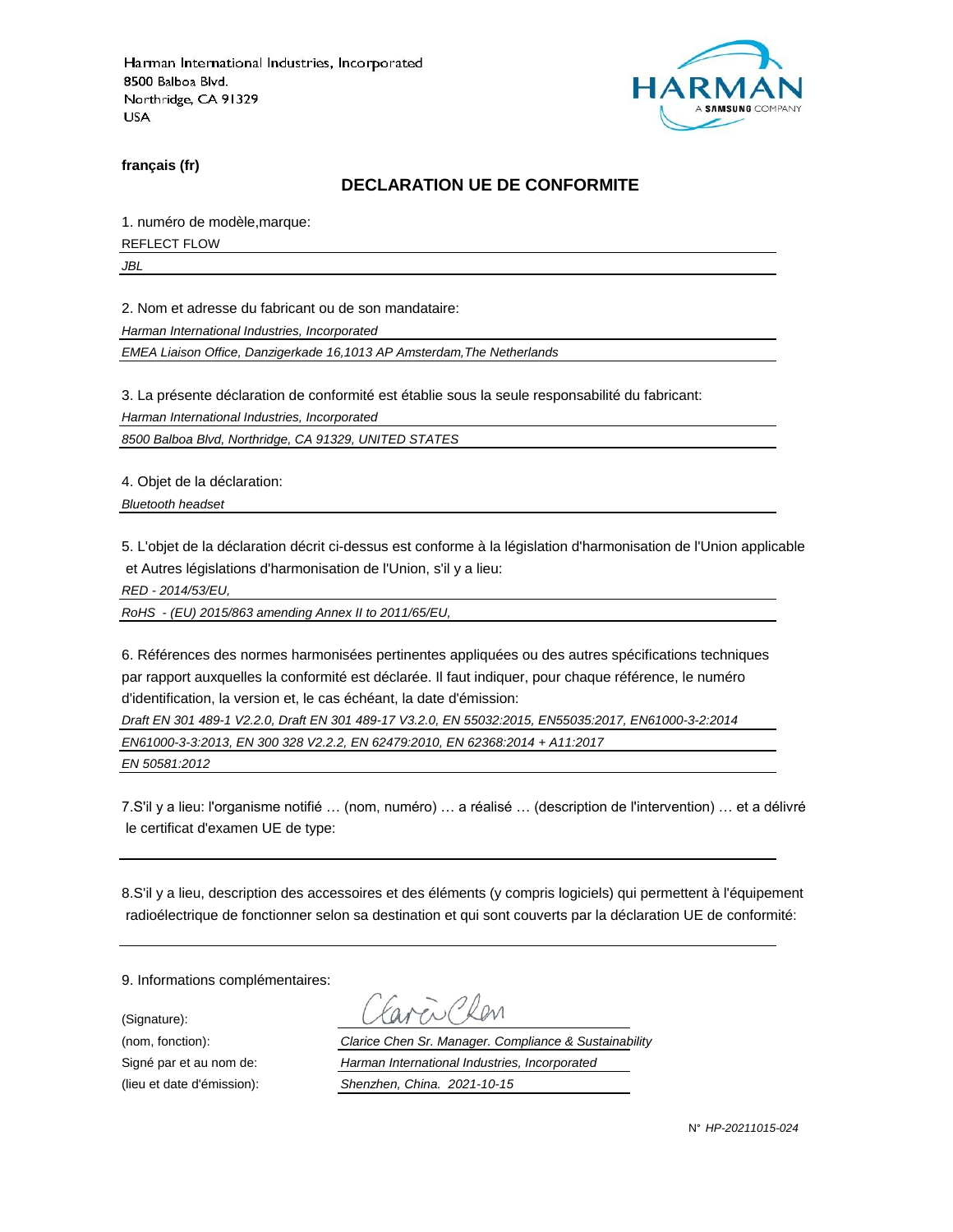

**français (fr)**

#### **DECLARATION UE DE CONFORMITE**

1. numéro de modèle,marque:

REFLECT FLOW

*JBL*

2. Nom et adresse du fabricant ou de son mandataire:

*Harman International Industries, Incorporated*

*EMEA Liaison Office, Danzigerkade 16,1013 AP Amsterdam,The Netherlands*

3. La présente déclaration de conformité est établie sous la seule responsabilité du fabricant:

*Harman International Industries, Incorporated*

*8500 Balboa Blvd, Northridge, CA 91329, UNITED STATES*

4. Objet de la déclaration:

*Bluetooth headset*

5. L'objet de la déclaration décrit ci-dessus est conforme à la législation d'harmonisation de l'Union applicable et Autres législations d'harmonisation de l'Union, s'il y a lieu:

*RED - 2014/53/EU,*

*RoHS - (EU) 2015/863 amending Annex II to 2011/65/EU,*

6. Références des normes harmonisées pertinentes appliquées ou des autres spécifications techniques par rapport auxquelles la conformité est déclarée. Il faut indiquer, pour chaque référence, le numéro d'identification, la version et, le cas échéant, la date d'émission:

*Draft EN 301 489-1 V2.2.0, Draft EN 301 489-17 V3.2.0, EN 55032:2015, EN55035:2017, EN61000-3-2:2014 EN61000-3-3:2013, EN 300 328 V2.2.2, EN 62479:2010, EN 62368:2014 + A11:2017*

*EN 50581:2012*

7.S'il y a lieu: l'organisme notifié … (nom, numéro) … a réalisé … (description de l'intervention) … et a délivré le certificat d'examen UE de type:

8.S'il y a lieu, description des accessoires et des éléments (y compris logiciels) qui permettent à l'équipement radioélectrique de fonctionner selon sa destination et qui sont couverts par la déclaration UE de conformité:

9. Informations complémentaires:

(Signature):

(nom, fonction): *Clarice Chen Sr. Manager. Compliance & Sustainability* Signé par et au nom de: *Harman International Industries, Incorporated* (lieu et date d'émission): *Shenzhen, China. 2021-10-15*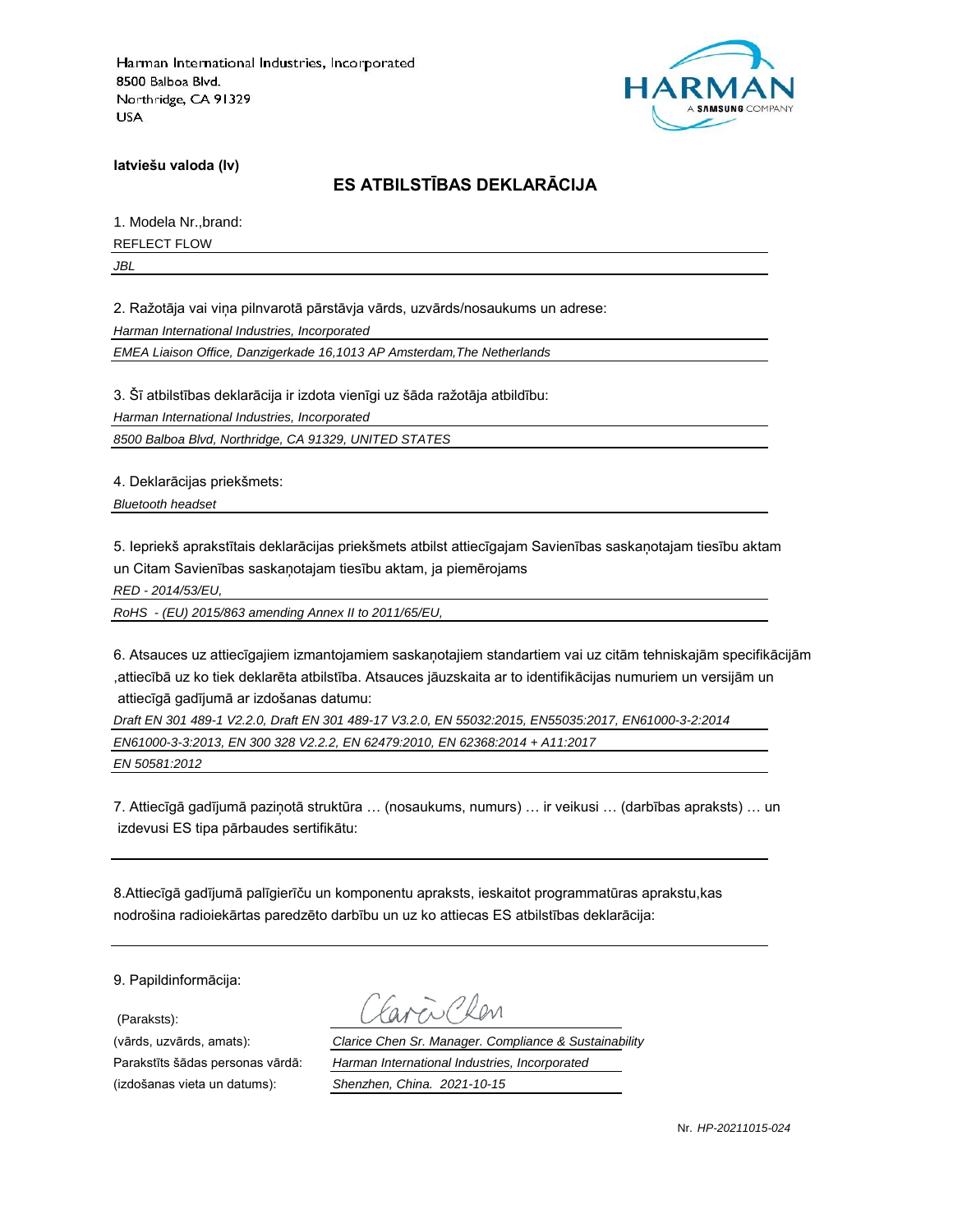

**latviešu valoda (lv)**

## **ES ATBILSTĪBAS DEKLARĀCIJA**

1. Modela Nr.,brand:

REFLECT FLOW

*JBL*

2. Ražotāja vai viņa pilnvarotā pārstāvja vārds, uzvārds/nosaukums un adrese:

*Harman International Industries, Incorporated*

*EMEA Liaison Office, Danzigerkade 16,1013 AP Amsterdam,The Netherlands*

3. Šī atbilstības deklarācija ir izdota vienīgi uz šāda ražotāja atbildību:

*Harman International Industries, Incorporated*

*8500 Balboa Blvd, Northridge, CA 91329, UNITED STATES*

4. Deklarācijas priekšmets:

*Bluetooth headset*

5. Iepriekš aprakstītais deklarācijas priekšmets atbilst attiecīgajam Savienības saskaņotajam tiesību aktam un Citam Savienības saskaņotajam tiesību aktam, ja piemērojams

*RED - 2014/53/EU,*

*RoHS - (EU) 2015/863 amending Annex II to 2011/65/EU,*

6. Atsauces uz attiecīgajiem izmantojamiem saskaņotajiem standartiem vai uz citām tehniskajām specifikācijām ,attiecībā uz ko tiek deklarēta atbilstība. Atsauces jāuzskaita ar to identifikācijas numuriem un versijām un attiecīgā gadījumā ar izdošanas datumu:

*Draft EN 301 489-1 V2.2.0, Draft EN 301 489-17 V3.2.0, EN 55032:2015, EN55035:2017, EN61000-3-2:2014 EN61000-3-3:2013, EN 300 328 V2.2.2, EN 62479:2010, EN 62368:2014 + A11:2017 EN 50581:2012*

7. Attiecīgā gadījumā paziņotā struktūra … (nosaukums, numurs) … ir veikusi … (darbības apraksts) … un izdevusi ES tipa pārbaudes sertifikātu:

8.Attiecīgā gadījumā palīgierīču un komponentu apraksts, ieskaitot programmatūras aprakstu,kas nodrošina radioiekārtas paredzēto darbību un uz ko attiecas ES atbilstības deklarācija:

9. Papildinformācija:

(Paraksts):

(vārds, uzvārds, amats): *Clarice Chen Sr. Manager. Compliance & Sustainability* Parakstīts šādas personas vārdā: *Harman International Industries, Incorporated* (izdošanas vieta un datums): *Shenzhen, China. 2021-10-15*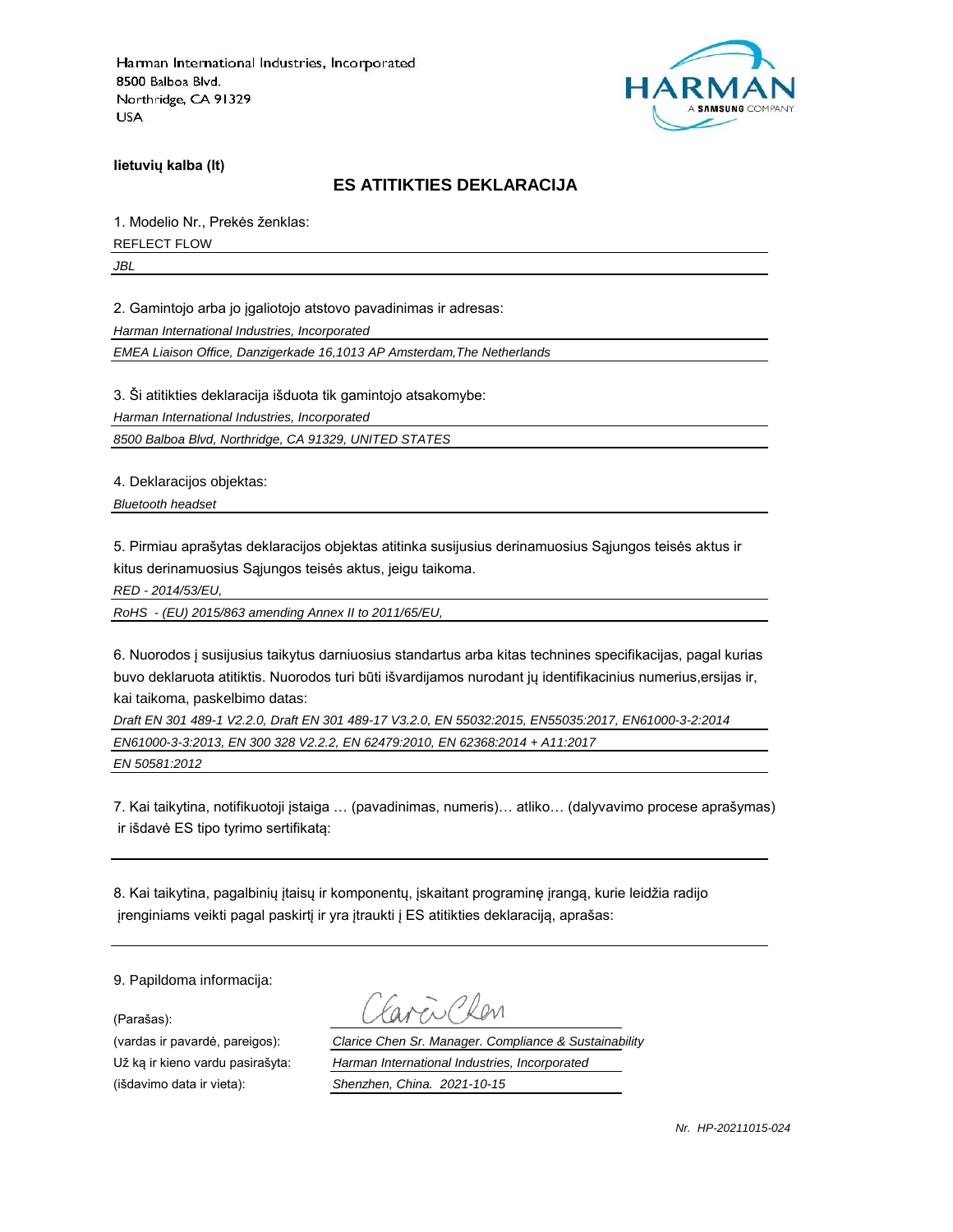

**lietuvių kalba (lt)**

### **ES ATITIKTIES DEKLARACIJA**

1. Modelio Nr., Prekės ženklas: REFLECT FLOW

*JBL*

2. Gamintojo arba jo įgaliotojo atstovo pavadinimas ir adresas:

*Harman International Industries, Incorporated*

*EMEA Liaison Office, Danzigerkade 16,1013 AP Amsterdam,The Netherlands*

3. Ši atitikties deklaracija išduota tik gamintojo atsakomybe:

*Harman International Industries, Incorporated*

*8500 Balboa Blvd, Northridge, CA 91329, UNITED STATES*

4. Deklaracijos objektas:

*Bluetooth headset*

5. Pirmiau aprašytas deklaracijos objektas atitinka susijusius derinamuosius Sąjungos teisės aktus ir kitus derinamuosius Sąjungos teisės aktus, jeigu taikoma.

*RED - 2014/53/EU,*

*RoHS - (EU) 2015/863 amending Annex II to 2011/65/EU,*

6. Nuorodos į susijusius taikytus darniuosius standartus arba kitas technines specifikacijas, pagal kurias buvo deklaruota atitiktis. Nuorodos turi būti išvardijamos nurodant jų identifikacinius numerius,ersijas ir, kai taikoma, paskelbimo datas:

*Draft EN 301 489-1 V2.2.0, Draft EN 301 489-17 V3.2.0, EN 55032:2015, EN55035:2017, EN61000-3-2:2014 EN61000-3-3:2013, EN 300 328 V2.2.2, EN 62479:2010, EN 62368:2014 + A11:2017 EN 50581:2012*

7. Kai taikytina, notifikuotoji įstaiga … (pavadinimas, numeris)… atliko… (dalyvavimo procese aprašymas) ir išdavė ES tipo tyrimo sertifikatą:

8. Kai taikytina, pagalbinių įtaisų ir komponentų, įskaitant programinę įrangą, kurie leidžia radijo įrenginiams veikti pagal paskirtį ir yra įtraukti į ES atitikties deklaraciją, aprašas:

9. Papildoma informacija:

(Parašas):

(vardas ir pavardė, pareigos): *Clarice Chen Sr. Manager. Compliance & Sustainability* Už ką ir kieno vardu pasirašyta: *Harman International Industries, Incorporated* (išdavimo data ir vieta): *Shenzhen, China. 2021-10-15*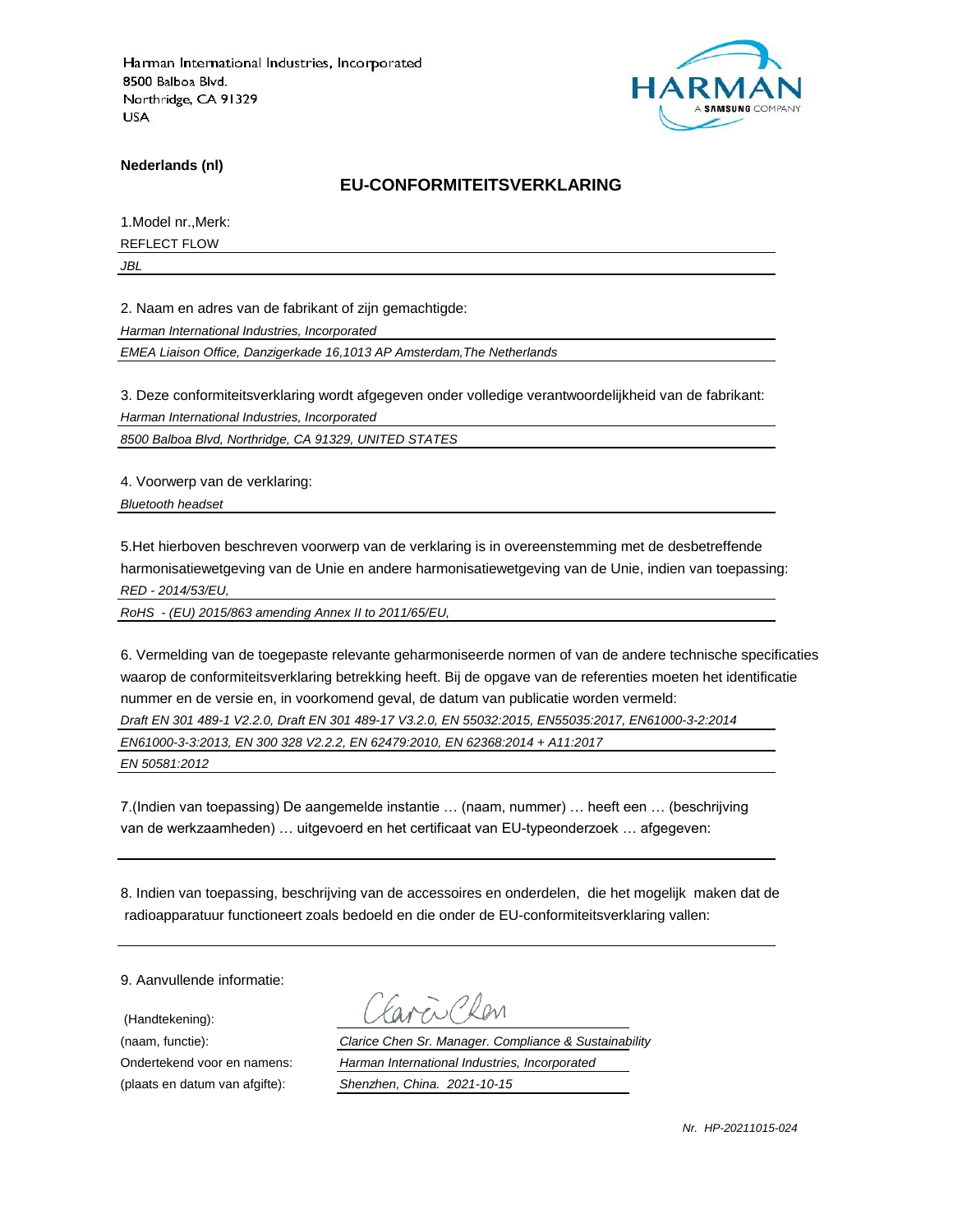

**Nederlands (nl)**

#### **EU-CONFORMITEITSVERKLARING**

1.Model nr.,Merk:

REFLECT FLOW

*JBL*

2. Naam en adres van de fabrikant of zijn gemachtigde:

*Harman International Industries, Incorporated*

*EMEA Liaison Office, Danzigerkade 16,1013 AP Amsterdam,The Netherlands*

3. Deze conformiteitsverklaring wordt afgegeven onder volledige verantwoordelijkheid van de fabrikant:

*Harman International Industries, Incorporated*

*8500 Balboa Blvd, Northridge, CA 91329, UNITED STATES*

4. Voorwerp van de verklaring:

*Bluetooth headset*

5.Het hierboven beschreven voorwerp van de verklaring is in overeenstemming met de desbetreffende harmonisatiewetgeving van de Unie en andere harmonisatiewetgeving van de Unie, indien van toepassing: *RED - 2014/53/EU,*

*RoHS - (EU) 2015/863 amending Annex II to 2011/65/EU,*

6. Vermelding van de toegepaste relevante geharmoniseerde normen of van de andere technische specificaties waarop de conformiteitsverklaring betrekking heeft. Bij de opgave van de referenties moeten het identificatie nummer en de versie en, in voorkomend geval, de datum van publicatie worden vermeld:

*Draft EN 301 489-1 V2.2.0, Draft EN 301 489-17 V3.2.0, EN 55032:2015, EN55035:2017, EN61000-3-2:2014*

*EN61000-3-3:2013, EN 300 328 V2.2.2, EN 62479:2010, EN 62368:2014 + A11:2017*

*EN 50581:2012*

7.(Indien van toepassing) De aangemelde instantie … (naam, nummer) … heeft een … (beschrijving van de werkzaamheden) … uitgevoerd en het certificaat van EU-typeonderzoek … afgegeven:

8. Indien van toepassing, beschrijving van de accessoires en onderdelen, die het mogelijk maken dat de radioapparatuur functioneert zoals bedoeld en die onder de EU-conformiteitsverklaring vallen:

9. Aanvullende informatie:

(Handtekening):

(naam, functie): *Clarice Chen Sr. Manager. Compliance & Sustainability* Ondertekend voor en namens: *Harman International Industries, Incorporated* (plaats en datum van afgifte): *Shenzhen, China. 2021-10-15*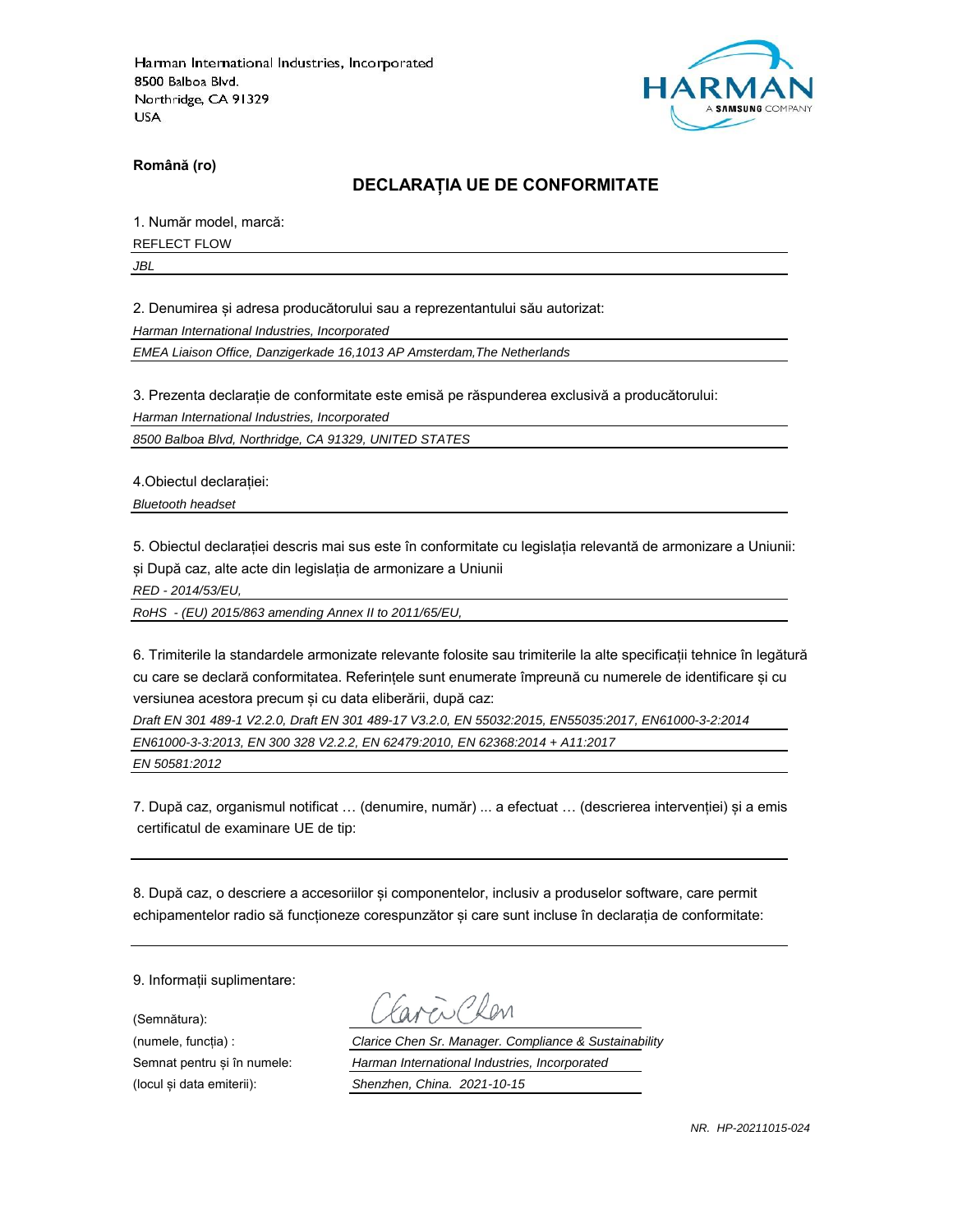

**Română (ro)**

### **DECLARAȚIA UE DE CONFORMITATE**

1. Număr model, marcă:

REFLECT FLOW

*JBL*

2. Denumirea și adresa producătorului sau a reprezentantului său autorizat:

*Harman International Industries, Incorporated*

*EMEA Liaison Office, Danzigerkade 16,1013 AP Amsterdam,The Netherlands*

3. Prezenta declarație de conformitate este emisă pe răspunderea exclusivă a producătorului:

*Harman International Industries, Incorporated*

*8500 Balboa Blvd, Northridge, CA 91329, UNITED STATES*

4.Obiectul declarației:

*Bluetooth headset*

5. Obiectul declarației descris mai sus este în conformitate cu legislația relevantă de armonizare a Uniunii: și După caz, alte acte din legislația de armonizare a Uniunii

*RED - 2014/53/EU,*

*RoHS - (EU) 2015/863 amending Annex II to 2011/65/EU,*

6. Trimiterile la standardele armonizate relevante folosite sau trimiterile la alte specificații tehnice în legătură cu care se declară conformitatea. Referințele sunt enumerate împreună cu numerele de identificare și cu versiunea acestora precum și cu data eliberării, după caz:

*Draft EN 301 489-1 V2.2.0, Draft EN 301 489-17 V3.2.0, EN 55032:2015, EN55035:2017, EN61000-3-2:2014 EN61000-3-3:2013, EN 300 328 V2.2.2, EN 62479:2010, EN 62368:2014 + A11:2017*

*EN 50581:2012*

7. După caz, organismul notificat … (denumire, număr) ... a efectuat … (descrierea intervenției) și a emis certificatul de examinare UE de tip:

8. După caz, o descriere a accesoriilor și componentelor, inclusiv a produselor software, care permit echipamentelor radio să funcționeze corespunzător și care sunt incluse în declarația de conformitate:

9. Informații suplimentare:

(Semnătura):

(numele, funcția) : *Clarice Chen Sr. Manager. Compliance & Sustainability* Semnat pentru și în numele: *Harman International Industries, Incorporated* (locul și data emiterii): *Shenzhen, China. 2021-10-15*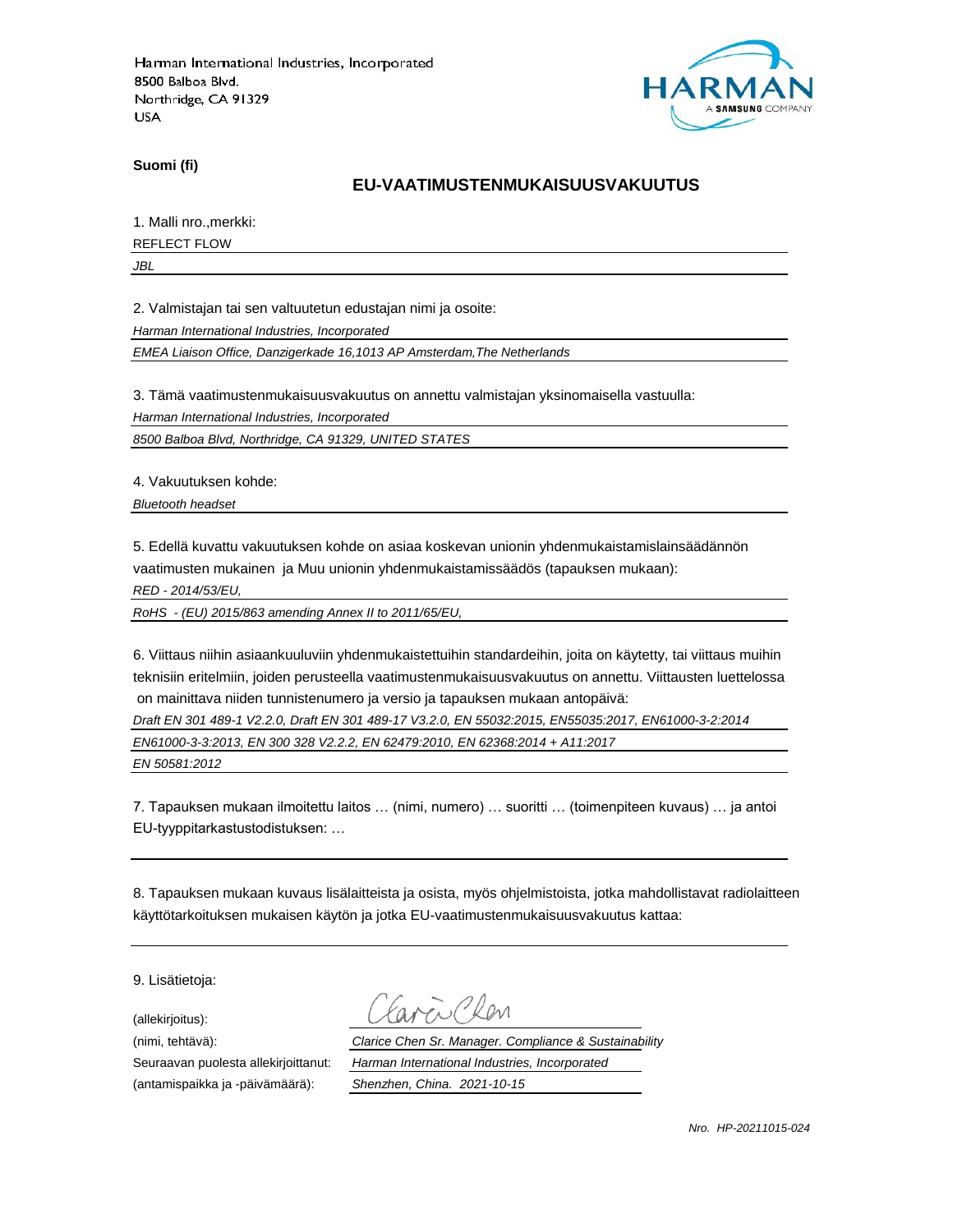

**Suomi (fi)**

### **EU-VAATIMUSTENMUKAISUUSVAKUUTUS**

1. Malli nro.,merkki:

REFLECT FLOW

*JBL*

2. Valmistajan tai sen valtuutetun edustajan nimi ja osoite:

*Harman International Industries, Incorporated*

*EMEA Liaison Office, Danzigerkade 16,1013 AP Amsterdam,The Netherlands*

3. Tämä vaatimustenmukaisuusvakuutus on annettu valmistajan yksinomaisella vastuulla:

*Harman International Industries, Incorporated*

*8500 Balboa Blvd, Northridge, CA 91329, UNITED STATES*

4. Vakuutuksen kohde:

*Bluetooth headset*

5. Edellä kuvattu vakuutuksen kohde on asiaa koskevan unionin yhdenmukaistamislainsäädännön vaatimusten mukainen ja Muu unionin yhdenmukaistamissäädös (tapauksen mukaan):

*RED - 2014/53/EU,*

*RoHS - (EU) 2015/863 amending Annex II to 2011/65/EU,*

6. Viittaus niihin asiaankuuluviin yhdenmukaistettuihin standardeihin, joita on käytetty, tai viittaus muihin teknisiin eritelmiin, joiden perusteella vaatimustenmukaisuusvakuutus on annettu. Viittausten luettelossa on mainittava niiden tunnistenumero ja versio ja tapauksen mukaan antopäivä:

*Draft EN 301 489-1 V2.2.0, Draft EN 301 489-17 V3.2.0, EN 55032:2015, EN55035:2017, EN61000-3-2:2014*

*EN61000-3-3:2013, EN 300 328 V2.2.2, EN 62479:2010, EN 62368:2014 + A11:2017*

*EN 50581:2012*

7. Tapauksen mukaan ilmoitettu laitos … (nimi, numero) … suoritti … (toimenpiteen kuvaus) … ja antoi EU-tyyppitarkastustodistuksen: …

8. Tapauksen mukaan kuvaus lisälaitteista ja osista, myös ohjelmistoista, jotka mahdollistavat radiolaitteen käyttötarkoituksen mukaisen käytön ja jotka EU-vaatimustenmukaisuusvakuutus kattaa:

9. Lisätietoja:

(allekirjoitus):

(antamispaikka ja -päivämäärä): *Shenzhen, China. 2021-10-15*

(nimi, tehtävä): *Clarice Chen Sr. Manager. Compliance & Sustainability* Seuraavan puolesta allekirjoittanut: *Harman International Industries, Incorporated*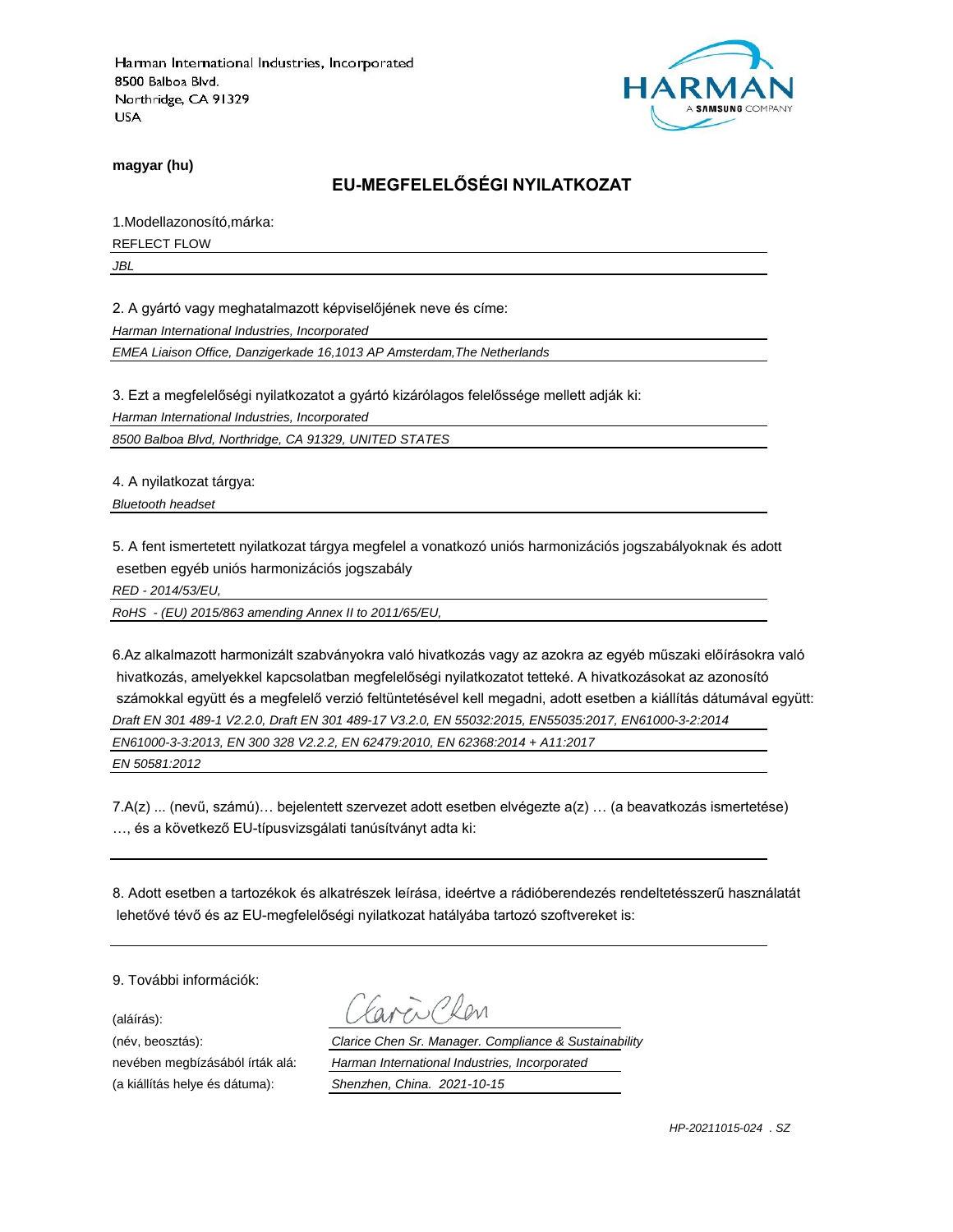

**magyar (hu)**

## **EU-MEGFELELŐSÉGI NYILATKOZAT**

1.Modellazonosító,márka:

REFLECT FLOW

*JBL*

2. A gyártó vagy meghatalmazott képviselőjének neve és címe:

*Harman International Industries, Incorporated*

*EMEA Liaison Office, Danzigerkade 16,1013 AP Amsterdam,The Netherlands*

3. Ezt a megfelelőségi nyilatkozatot a gyártó kizárólagos felelőssége mellett adják ki:

*Harman International Industries, Incorporated*

*8500 Balboa Blvd, Northridge, CA 91329, UNITED STATES*

4. A nyilatkozat tárgya:

*Bluetooth headset*

5. A fent ismertetett nyilatkozat tárgya megfelel a vonatkozó uniós harmonizációs jogszabályoknak és adott esetben egyéb uniós harmonizációs jogszabály

*RED - 2014/53/EU,*

*RoHS - (EU) 2015/863 amending Annex II to 2011/65/EU,*

6.Az alkalmazott harmonizált szabványokra való hivatkozás vagy az azokra az egyéb műszaki előírásokra való hivatkozás, amelyekkel kapcsolatban megfelelőségi nyilatkozatot tetteké. A hivatkozásokat az azonosító számokkal együtt és a megfelelő verzió feltüntetésével kell megadni, adott esetben a kiállítás dátumával együtt: *Draft EN 301 489-1 V2.2.0, Draft EN 301 489-17 V3.2.0, EN 55032:2015, EN55035:2017, EN61000-3-2:2014 EN61000-3-3:2013, EN 300 328 V2.2.2, EN 62479:2010, EN 62368:2014 + A11:2017*

*EN 50581:2012*

7.A(z) ... (nevű, számú)… bejelentett szervezet adott esetben elvégezte a(z) … (a beavatkozás ismertetése) …, és a következő EU-típusvizsgálati tanúsítványt adta ki:

8. Adott esetben a tartozékok és alkatrészek leírása, ideértve a rádióberendezés rendeltetésszerű használatát lehetővé tévő és az EU-megfelelőségi nyilatkozat hatályába tartozó szoftvereket is:

9. További információk:

(aláírás):

(név, beosztás): *Clarice Chen Sr. Manager. Compliance & Sustainability* nevében megbízásából írták alá: *Harman International Industries, Incorporated* (a kiállítás helye és dátuma): *Shenzhen, China. 2021-10-15*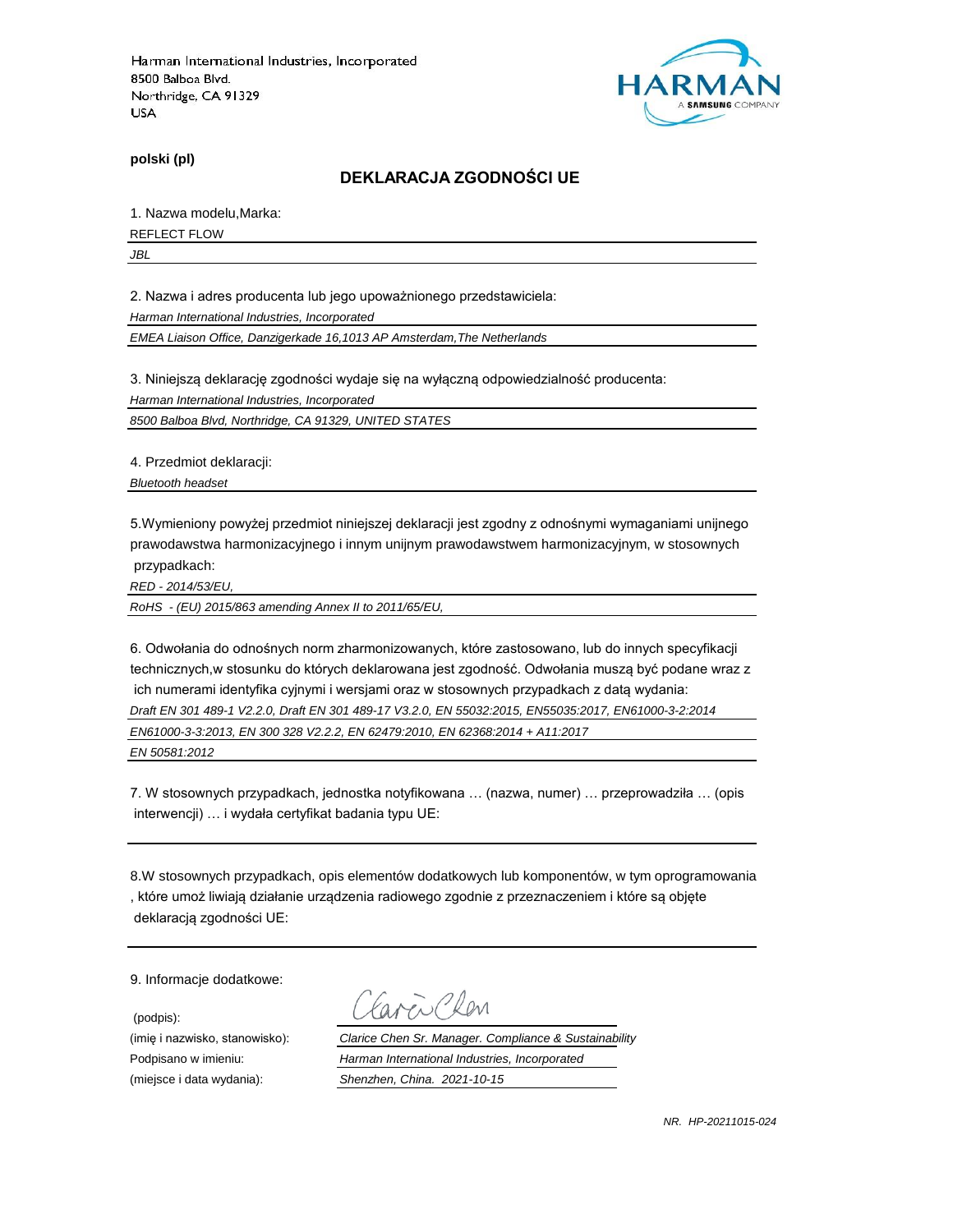

**polski (pl)**

#### **DEKLARACJA ZGODNOŚCI UE**

1. Nazwa modelu,Marka:

REFLECT FLOW

*JBL*

2. Nazwa i adres producenta lub jego upoważnionego przedstawiciela:

*Harman International Industries, Incorporated*

*EMEA Liaison Office, Danzigerkade 16,1013 AP Amsterdam,The Netherlands*

3. Niniejszą deklarację zgodności wydaje się na wyłączną odpowiedzialność producenta:

*Harman International Industries, Incorporated*

*8500 Balboa Blvd, Northridge, CA 91329, UNITED STATES*

4. Przedmiot deklaracji:

*Bluetooth headset*

5.Wymieniony powyżej przedmiot niniejszej deklaracji jest zgodny z odnośnymi wymaganiami unijnego prawodawstwa harmonizacyjnego i innym unijnym prawodawstwem harmonizacyjnym, w stosownych przypadkach:

*RED - 2014/53/EU,*

*RoHS - (EU) 2015/863 amending Annex II to 2011/65/EU,*

6. Odwołania do odnośnych norm zharmonizowanych, które zastosowano, lub do innych specyfikacji technicznych,w stosunku do których deklarowana jest zgodność. Odwołania muszą być podane wraz z ich numerami identyfika cyjnymi i wersjami oraz w stosownych przypadkach z datą wydania: *Draft EN 301 489-1 V2.2.0, Draft EN 301 489-17 V3.2.0, EN 55032:2015, EN55035:2017, EN61000-3-2:2014*

*EN61000-3-3:2013, EN 300 328 V2.2.2, EN 62479:2010, EN 62368:2014 + A11:2017*

*EN 50581:2012*

7. W stosownych przypadkach, jednostka notyfikowana … (nazwa, numer) … przeprowadziła … (opis interwencji) … i wydała certyfikat badania typu UE:

8.W stosownych przypadkach, opis elementów dodatkowych lub komponentów, w tym oprogramowania , które umoż liwiają działanie urządzenia radiowego zgodnie z przeznaczeniem i które są objęte deklaracją zgodności UE:

9. Informacje dodatkowe:

(podpis):

 $\sum$  Plan

(imię i nazwisko, stanowisko): *Clarice Chen Sr. Manager. Compliance & Sustainability* Podpisano w imieniu: *Harman International Industries, Incorporated* (miejsce i data wydania): *Shenzhen, China. 2021-10-15*

*NR. HP-20211015-024*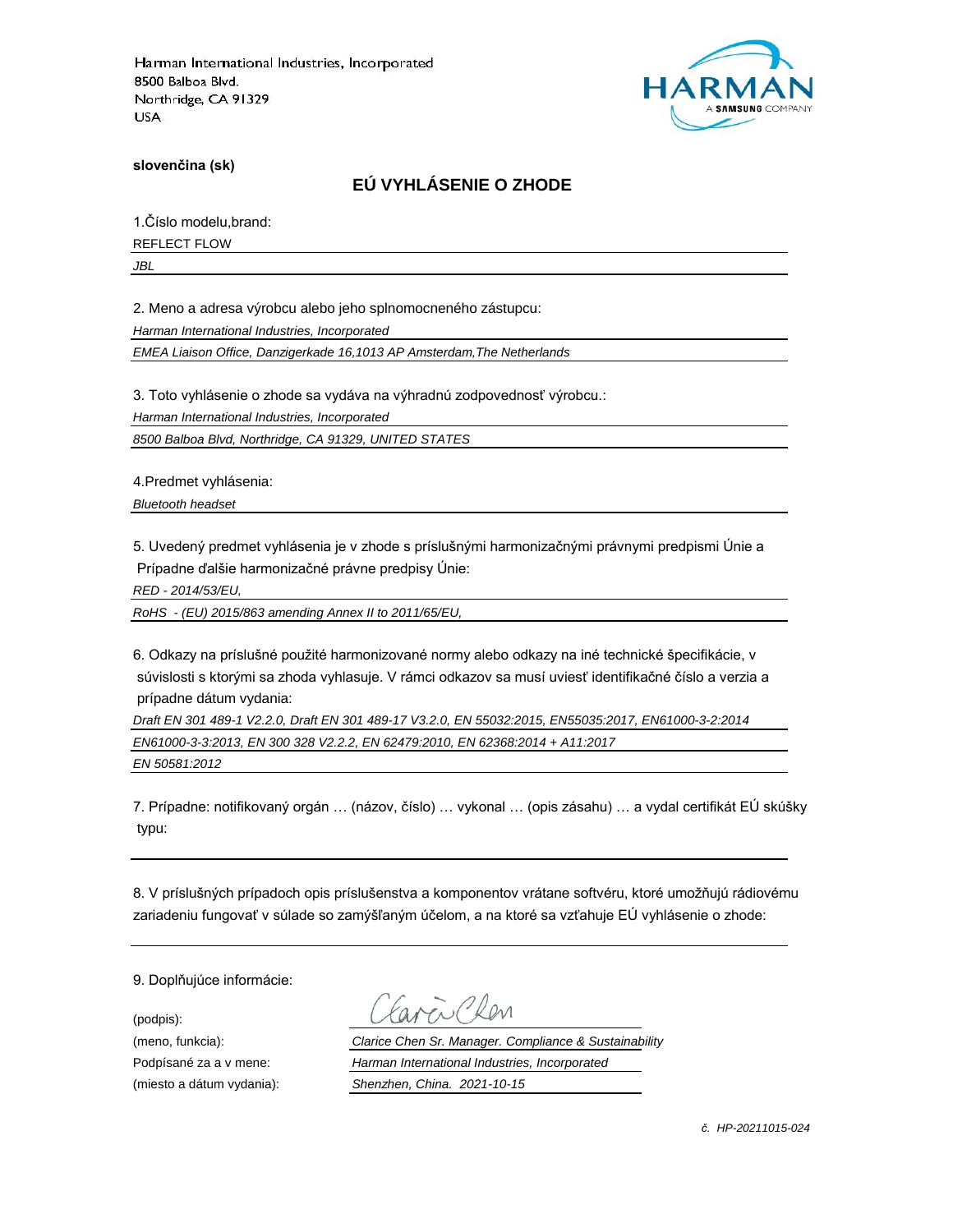

**slovenčina (sk)**

## **EÚ VYHLÁSENIE O ZHODE**

1.Číslo modelu,brand:

REFLECT FLOW

*JBL*

2. Meno a adresa výrobcu alebo jeho splnomocneného zástupcu:

*Harman International Industries, Incorporated*

*EMEA Liaison Office, Danzigerkade 16,1013 AP Amsterdam,The Netherlands*

3. Toto vyhlásenie o zhode sa vydáva na výhradnú zodpovednosť výrobcu.:

*Harman International Industries, Incorporated*

*8500 Balboa Blvd, Northridge, CA 91329, UNITED STATES*

4.Predmet vyhlásenia:

*Bluetooth headset*

5. Uvedený predmet vyhlásenia je v zhode s príslušnými harmonizačnými právnymi predpismi Únie a Prípadne ďalšie harmonizačné právne predpisy Únie:

*RED - 2014/53/EU,*

*RoHS - (EU) 2015/863 amending Annex II to 2011/65/EU,*

6. Odkazy na príslušné použité harmonizované normy alebo odkazy na iné technické špecifikácie, v súvislosti s ktorými sa zhoda vyhlasuje. V rámci odkazov sa musí uviesť identifikačné číslo a verzia a prípadne dátum vydania:

*Draft EN 301 489-1 V2.2.0, Draft EN 301 489-17 V3.2.0, EN 55032:2015, EN55035:2017, EN61000-3-2:2014 EN61000-3-3:2013, EN 300 328 V2.2.2, EN 62479:2010, EN 62368:2014 + A11:2017*

*EN 50581:2012*

7. Prípadne: notifikovaný orgán … (názov, číslo) … vykonal … (opis zásahu) … a vydal certifikát EÚ skúšky typu:

8. V príslušných prípadoch opis príslušenstva a komponentov vrátane softvéru, ktoré umožňujú rádiovému zariadeniu fungovať v súlade so zamýšľaným účelom, a na ktoré sa vzťahuje EÚ vyhlásenie o zhode:

9. Doplňujúce informácie:

(podpis):

(meno, funkcia): *Clarice Chen Sr. Manager. Compliance & Sustainability* Podpísané za a v mene: *Harman International Industries, Incorporated* (miesto a dátum vydania): *Shenzhen, China. 2021-10-15*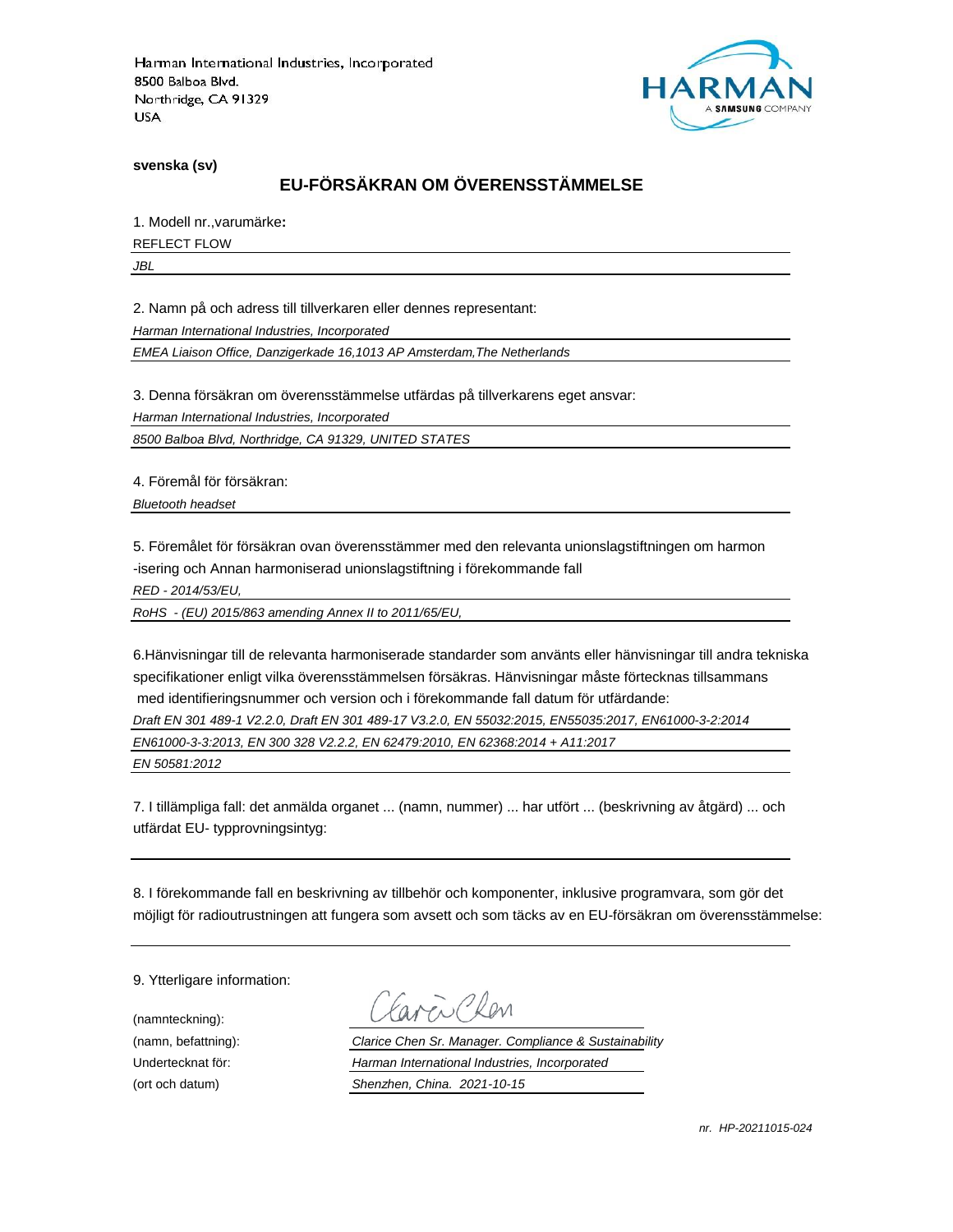

**svenska (sv)**

## **EU-FÖRSÄKRAN OM ÖVERENSSTÄMMELSE**

1. Modell nr.,varumärke**:**

REFLECT FLOW

*JBL*

2. Namn på och adress till tillverkaren eller dennes representant:

*Harman International Industries, Incorporated*

*EMEA Liaison Office, Danzigerkade 16,1013 AP Amsterdam,The Netherlands*

3. Denna försäkran om överensstämmelse utfärdas på tillverkarens eget ansvar:

*Harman International Industries, Incorporated*

*8500 Balboa Blvd, Northridge, CA 91329, UNITED STATES*

4. Föremål för försäkran:

*Bluetooth headset*

5. Föremålet för försäkran ovan överensstämmer med den relevanta unionslagstiftningen om harmon -isering och Annan harmoniserad unionslagstiftning i förekommande fall

*RED - 2014/53/EU,*

*RoHS - (EU) 2015/863 amending Annex II to 2011/65/EU,*

6.Hänvisningar till de relevanta harmoniserade standarder som använts eller hänvisningar till andra tekniska specifikationer enligt vilka överensstämmelsen försäkras. Hänvisningar måste förtecknas tillsammans med identifieringsnummer och version och i förekommande fall datum för utfärdande:

*Draft EN 301 489-1 V2.2.0, Draft EN 301 489-17 V3.2.0, EN 55032:2015, EN55035:2017, EN61000-3-2:2014*

*EN61000-3-3:2013, EN 300 328 V2.2.2, EN 62479:2010, EN 62368:2014 + A11:2017*

*EN 50581:2012*

7. I tillämpliga fall: det anmälda organet ... (namn, nummer) ... har utfört ... (beskrivning av åtgärd) ... och utfärdat EU- typprovningsintyg:

8. I förekommande fall en beskrivning av tillbehör och komponenter, inklusive programvara, som gör det möjligt för radioutrustningen att fungera som avsett och som täcks av en EU-försäkran om överensstämmelse:

9. Ytterligare information:

(namnteckning):

EN Plen

(namn, befattning): *Clarice Chen Sr. Manager. Compliance & Sustainability* Undertecknat för: *Harman International Industries, Incorporated* (ort och datum) *Shenzhen, China. 2021-10-15*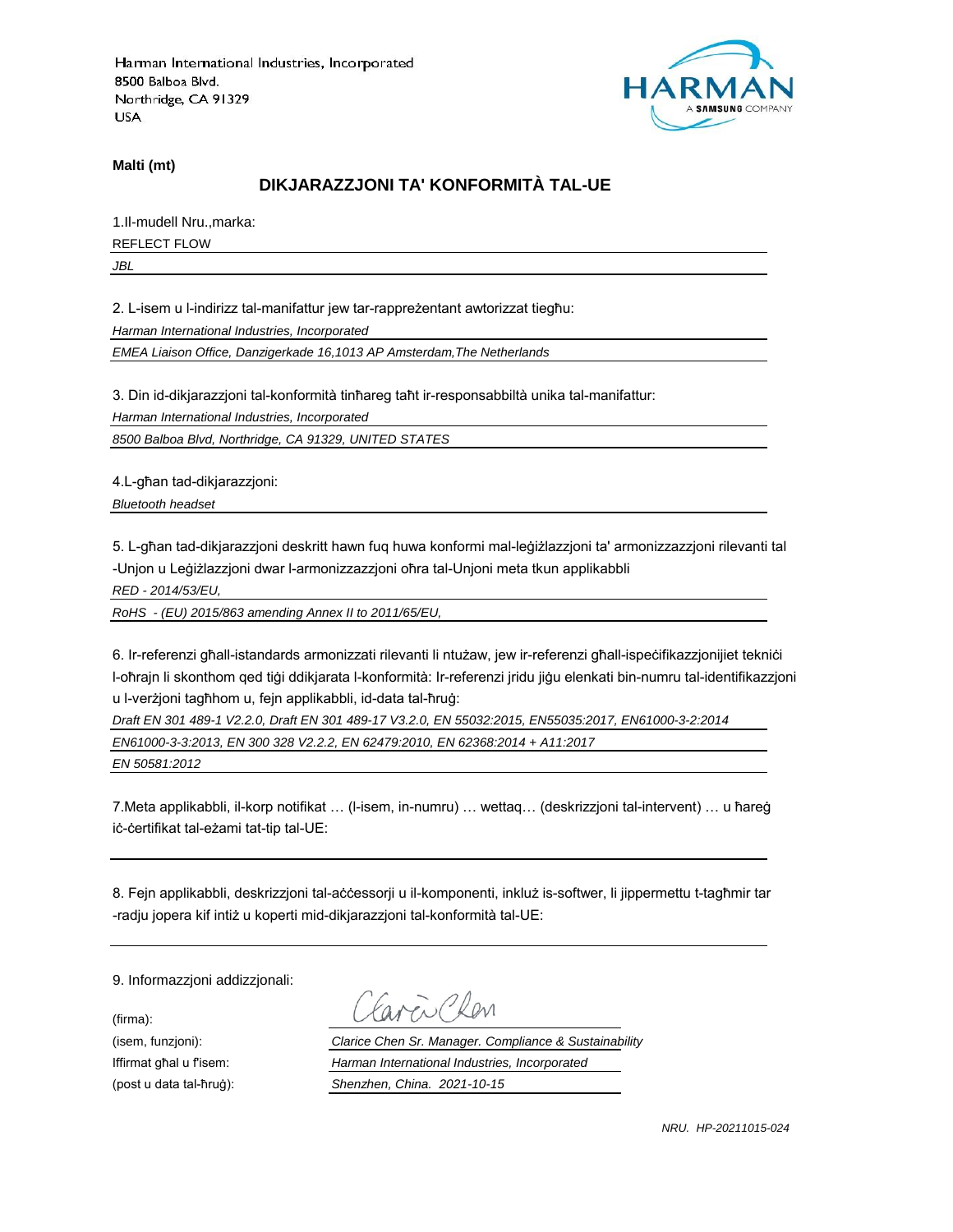

**Malti (mt)**

### **DIKJARAZZJONI TA' KONFORMITÀ TAL-UE**

1.Il-mudell Nru.,marka: REFLECT FLOW

*JBL*

2. L-isem u l-indirizz tal-manifattur jew tar-rappreżentant awtorizzat tiegħu:

*Harman International Industries, Incorporated*

*EMEA Liaison Office, Danzigerkade 16,1013 AP Amsterdam,The Netherlands*

3. Din id-dikjarazzjoni tal-konformità tinħareg taħt ir-responsabbiltà unika tal-manifattur:

*Harman International Industries, Incorporated*

*8500 Balboa Blvd, Northridge, CA 91329, UNITED STATES*

4.L-għan tad-dikjarazzjoni:

*Bluetooth headset*

5. L-għan tad-dikjarazzjoni deskritt hawn fuq huwa konformi mal-leġiżlazzjoni ta' armonizzazzjoni rilevanti tal -Unjon u Leġiżlazzjoni dwar l-armonizzazzjoni oħra tal-Unjoni meta tkun applikabbli

*RED - 2014/53/EU,*

*RoHS - (EU) 2015/863 amending Annex II to 2011/65/EU,*

6. Ir-referenzi għall-istandards armonizzati rilevanti li ntużaw, jew ir-referenzi għall-ispeċifikazzjonijiet tekniċi l-oħrajn li skonthom qed tiġi ddikjarata l-konformità: Ir-referenzi jridu jiġu elenkati bin-numru tal-identifikazzjoni u l-verżjoni tagħhom u, fejn applikabbli, id-data tal-ħruġ:

*Draft EN 301 489-1 V2.2.0, Draft EN 301 489-17 V3.2.0, EN 55032:2015, EN55035:2017, EN61000-3-2:2014*

*EN61000-3-3:2013, EN 300 328 V2.2.2, EN 62479:2010, EN 62368:2014 + A11:2017*

*EN 50581:2012*

7.Meta applikabbli, il-korp notifikat … (l-isem, in-numru) … wettaq… (deskrizzjoni tal-intervent) … u ħareġ iċ-ċertifikat tal-eżami tat-tip tal-UE:

8. Fejn applikabbli, deskrizzjoni tal-aċċessorji u il-komponenti, inkluż is-softwer, li jippermettu t-tagħmir tar -radju jopera kif intiż u koperti mid-dikjarazzjoni tal-konformità tal-UE:

9. Informazzjoni addizzjonali:

(firma):

ENPROM

(isem, funzjoni): *Clarice Chen Sr. Manager. Compliance & Sustainability* Iffirmat għal u f'isem: *Harman International Industries, Incorporated* (post u data tal-ħruġ): *Shenzhen, China. 2021-10-15*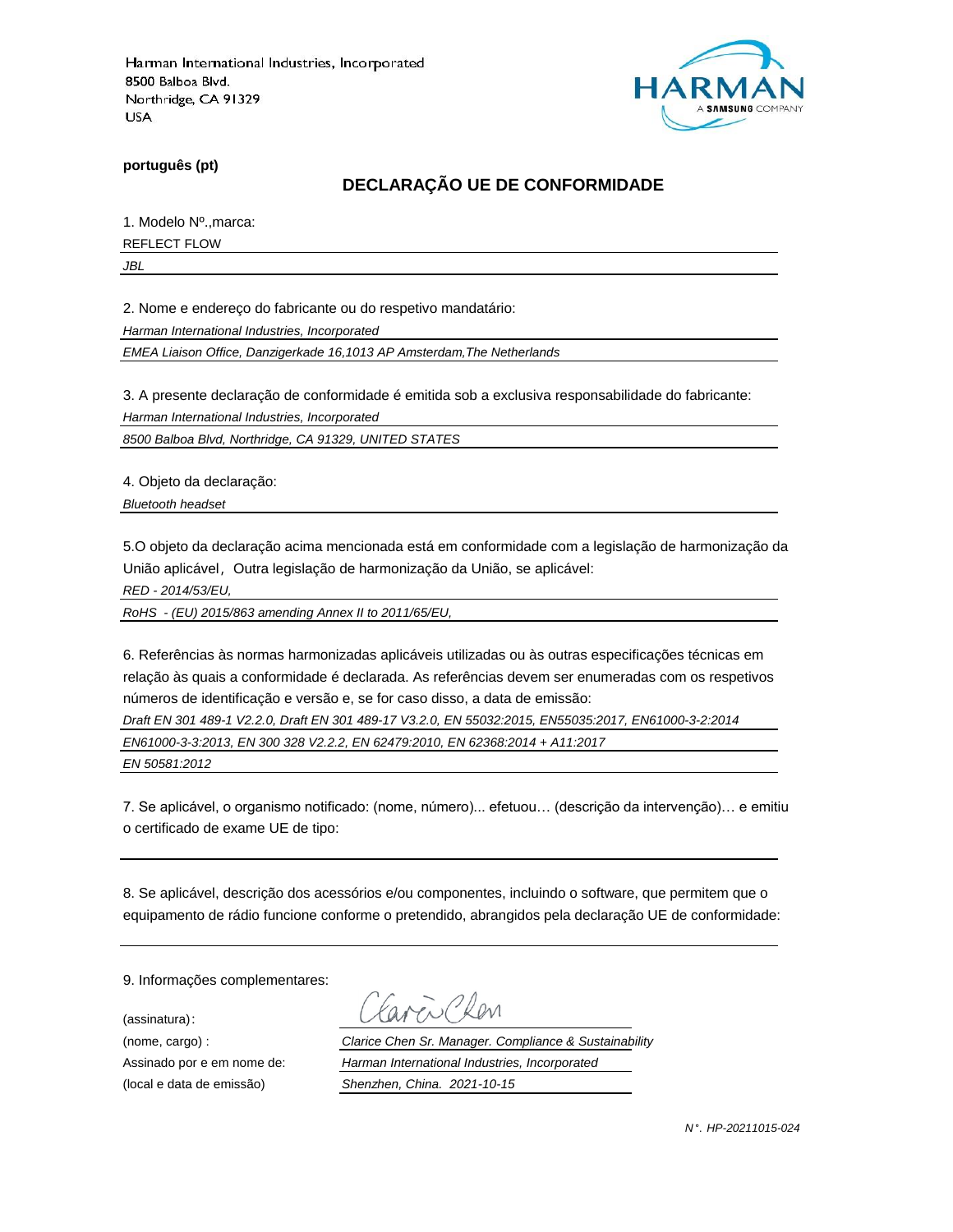

**português (pt)**

### **DECLARAÇÃO UE DE CONFORMIDADE**

1. Modelo Nº.,marca:

REFLECT FLOW

*JBL*

2. Nome e endereço do fabricante ou do respetivo mandatário:

*Harman International Industries, Incorporated*

*EMEA Liaison Office, Danzigerkade 16,1013 AP Amsterdam,The Netherlands*

3. A presente declaração de conformidade é emitida sob a exclusiva responsabilidade do fabricante:

*Harman International Industries, Incorporated*

*8500 Balboa Blvd, Northridge, CA 91329, UNITED STATES*

4. Objeto da declaração:

*Bluetooth headset*

5.O objeto da declaração acima mencionada está em conformidade com a legislação de harmonização da União aplicável, Outra legislação de harmonização da União, se aplicável:

*RED - 2014/53/EU,*

*RoHS - (EU) 2015/863 amending Annex II to 2011/65/EU,*

6. Referências às normas harmonizadas aplicáveis utilizadas ou às outras especificações técnicas em relação às quais a conformidade é declarada. As referências devem ser enumeradas com os respetivos números de identificação e versão e, se for caso disso, a data de emissão:

*Draft EN 301 489-1 V2.2.0, Draft EN 301 489-17 V3.2.0, EN 55032:2015, EN55035:2017, EN61000-3-2:2014*

*EN61000-3-3:2013, EN 300 328 V2.2.2, EN 62479:2010, EN 62368:2014 + A11:2017*

*EN 50581:2012*

7. Se aplicável, o organismo notificado: (nome, número)... efetuou… (descrição da intervenção)… e emitiu o certificado de exame UE de tipo:

8. Se aplicável, descrição dos acessórios e/ou componentes, incluindo o software, que permitem que o equipamento de rádio funcione conforme o pretendido, abrangidos pela declaração UE de conformidade:

9. Informações complementares:

(assinatura):

CRen

(nome, cargo) : *Clarice Chen Sr. Manager. Compliance & Sustainability* Assinado por e em nome de: *Harman International Industries, Incorporated* (local e data de emissão) *Shenzhen, China. 2021-10-15*